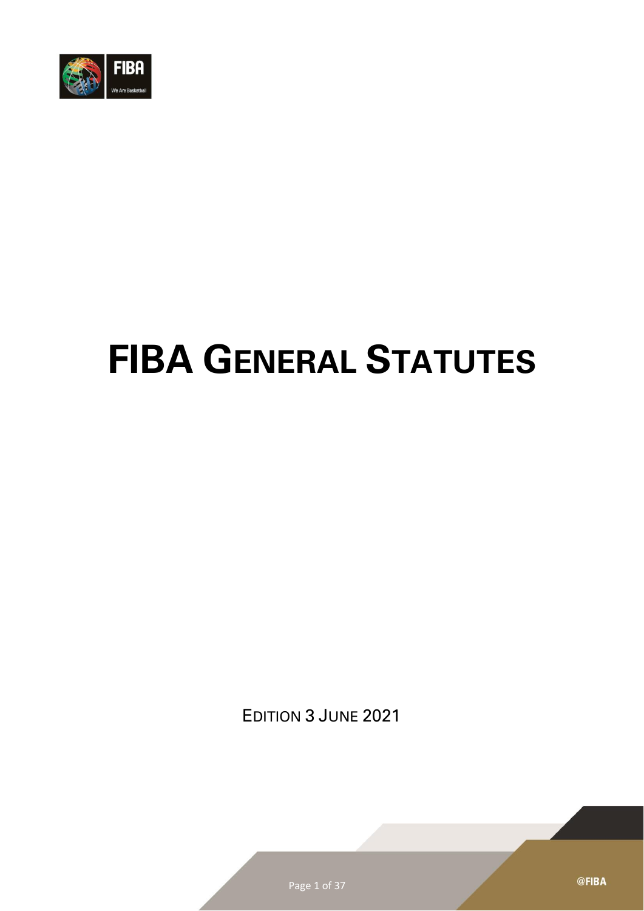

# **FIBA GENERAL STATUTES**

EDITION 3 JUNE 2021

@FIBA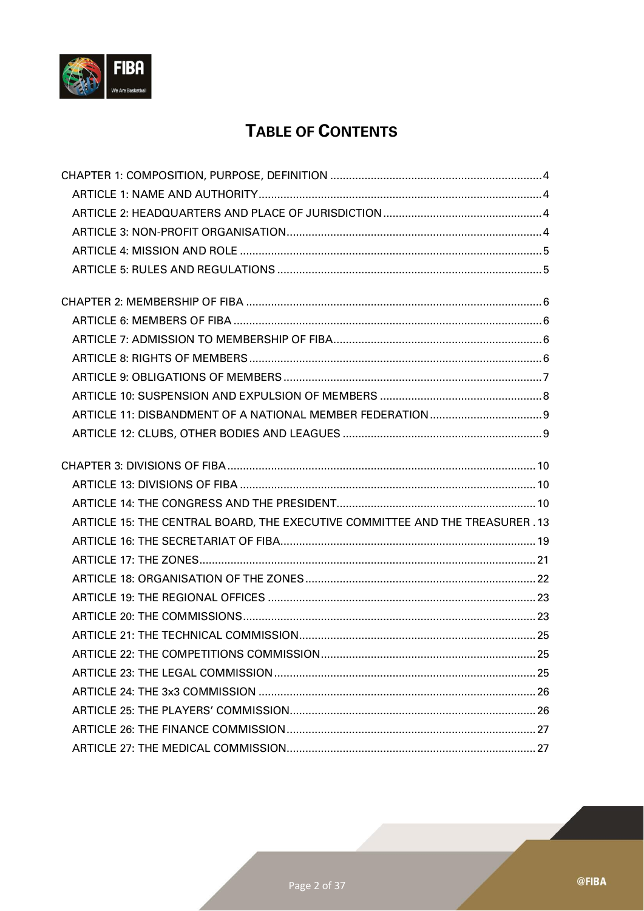

## **TABLE OF CONTENTS**

| ARTICLE 15: THE CENTRAL BOARD, THE EXECUTIVE COMMITTEE AND THE TREASURER . 13 |
|-------------------------------------------------------------------------------|
|                                                                               |
|                                                                               |
|                                                                               |
|                                                                               |
|                                                                               |
|                                                                               |
|                                                                               |
|                                                                               |
|                                                                               |
|                                                                               |
|                                                                               |
|                                                                               |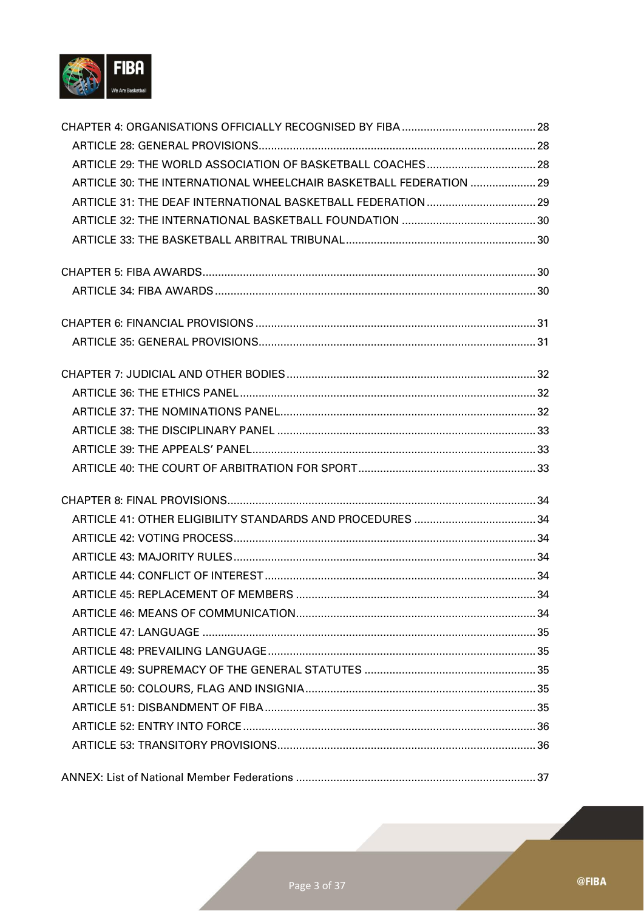

| ARTICLE 30: THE INTERNATIONAL WHEELCHAIR BASKETBALL FEDERATION  29 |  |
|--------------------------------------------------------------------|--|
|                                                                    |  |
|                                                                    |  |
|                                                                    |  |
|                                                                    |  |
|                                                                    |  |
|                                                                    |  |
|                                                                    |  |
|                                                                    |  |
|                                                                    |  |
|                                                                    |  |
|                                                                    |  |
|                                                                    |  |
|                                                                    |  |
|                                                                    |  |
|                                                                    |  |
|                                                                    |  |
|                                                                    |  |
|                                                                    |  |
|                                                                    |  |
|                                                                    |  |
|                                                                    |  |
|                                                                    |  |
|                                                                    |  |
|                                                                    |  |
|                                                                    |  |
|                                                                    |  |
|                                                                    |  |
|                                                                    |  |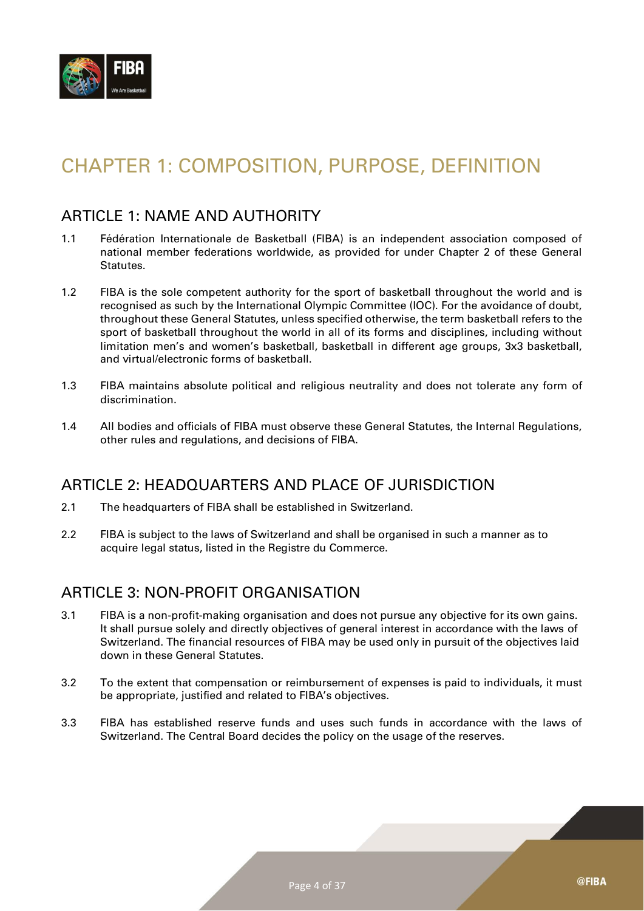

# <span id="page-3-0"></span>CHAPTER 1: COMPOSITION, PURPOSE, DEFINITION

#### <span id="page-3-1"></span>ARTICLE 1: NAME AND AUTHORITY

- 1.1 Fédération Internationale de Basketball (FIBA) is an independent association composed of national member federations worldwide, as provided for under Chapter 2 of these General Statutes.
- 1.2 FIBA is the sole competent authority for the sport of basketball throughout the world and is recognised as such by the International Olympic Committee (IOC). For the avoidance of doubt, throughout these General Statutes, unless specified otherwise, the term basketball refers to the sport of basketball throughout the world in all of its forms and disciplines, including without limitation men's and women's basketball, basketball in different age groups, 3x3 basketball, and virtual/electronic forms of basketball.
- 1.3 FIBA maintains absolute political and religious neutrality and does not tolerate any form of discrimination.
- 1.4 All bodies and officials of FIBA must observe these General Statutes, the Internal Regulations, other rules and regulations, and decisions of FIBA.

#### <span id="page-3-2"></span>ARTICLE 2: HEADQUARTERS AND PLACE OF JURISDICTION

- 2.1 The headquarters of FIBA shall be established in Switzerland.
- 2.2 FIBA is subject to the laws of Switzerland and shall be organised in such a manner as to acquire legal status, listed in the Registre du Commerce.

#### <span id="page-3-3"></span>ARTICLE 3: NON-PROFIT ORGANISATION

- 3.1 FIBA is a non-profit-making organisation and does not pursue any objective for its own gains. It shall pursue solely and directly objectives of general interest in accordance with the laws of Switzerland. The financial resources of FIBA may be used only in pursuit of the objectives laid down in these General Statutes.
- 3.2 To the extent that compensation or reimbursement of expenses is paid to individuals, it must be appropriate, justified and related to FIBA's objectives.
- 3.3 FIBA has established reserve funds and uses such funds in accordance with the laws of Switzerland. The Central Board decides the policy on the usage of the reserves.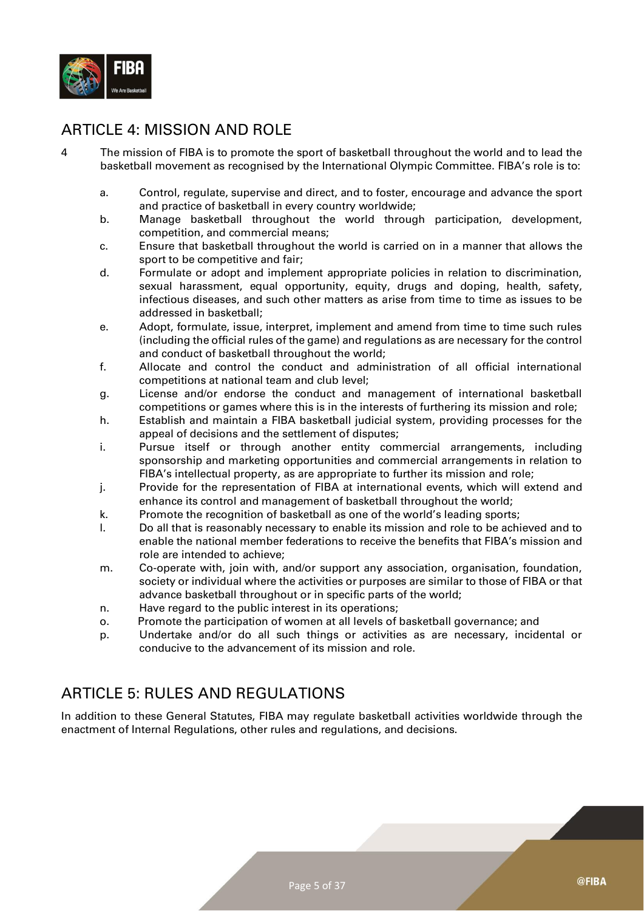

## <span id="page-4-0"></span>ARTICLE 4: MISSION AND ROLE

- 4 The mission of FIBA is to promote the sport of basketball throughout the world and to lead the basketball movement as recognised by the International Olympic Committee. FIBA's role is to:
	- a. Control, regulate, supervise and direct, and to foster, encourage and advance the sport and practice of basketball in every country worldwide;
	- b. Manage basketball throughout the world through participation, development, competition, and commercial means;
	- c. Ensure that basketball throughout the world is carried on in a manner that allows the sport to be competitive and fair;
	- d. Formulate or adopt and implement appropriate policies in relation to discrimination, sexual harassment, equal opportunity, equity, drugs and doping, health, safety, infectious diseases, and such other matters as arise from time to time as issues to be addressed in basketball;
	- e. Adopt, formulate, issue, interpret, implement and amend from time to time such rules (including the official rules of the game) and regulations as are necessary for the control and conduct of basketball throughout the world;
	- f. Allocate and control the conduct and administration of all official international competitions at national team and club level;
	- g. License and/or endorse the conduct and management of international basketball competitions or games where this is in the interests of furthering its mission and role;
	- h. Establish and maintain a FIBA basketball judicial system, providing processes for the appeal of decisions and the settlement of disputes;
	- i. Pursue itself or through another entity commercial arrangements, including sponsorship and marketing opportunities and commercial arrangements in relation to FIBA's intellectual property, as are appropriate to further its mission and role;
	- j. Provide for the representation of FIBA at international events, which will extend and enhance its control and management of basketball throughout the world;
	- k. Promote the recognition of basketball as one of the world's leading sports;
	- l. Do all that is reasonably necessary to enable its mission and role to be achieved and to enable the national member federations to receive the benefits that FIBA's mission and role are intended to achieve;
	- m. Co-operate with, join with, and/or support any association, organisation, foundation, society or individual where the activities or purposes are similar to those of FIBA or that advance basketball throughout or in specific parts of the world;
	- n. Have regard to the public interest in its operations;
	- o. Promote the participation of women at all levels of basketball governance; and
	- p. Undertake and/or do all such things or activities as are necessary, incidental or conducive to the advancement of its mission and role.

## <span id="page-4-1"></span>ARTICLE 5: RULES AND REGULATIONS

In addition to these General Statutes, FIBA may regulate basketball activities worldwide through the enactment of Internal Regulations, other rules and regulations, and decisions.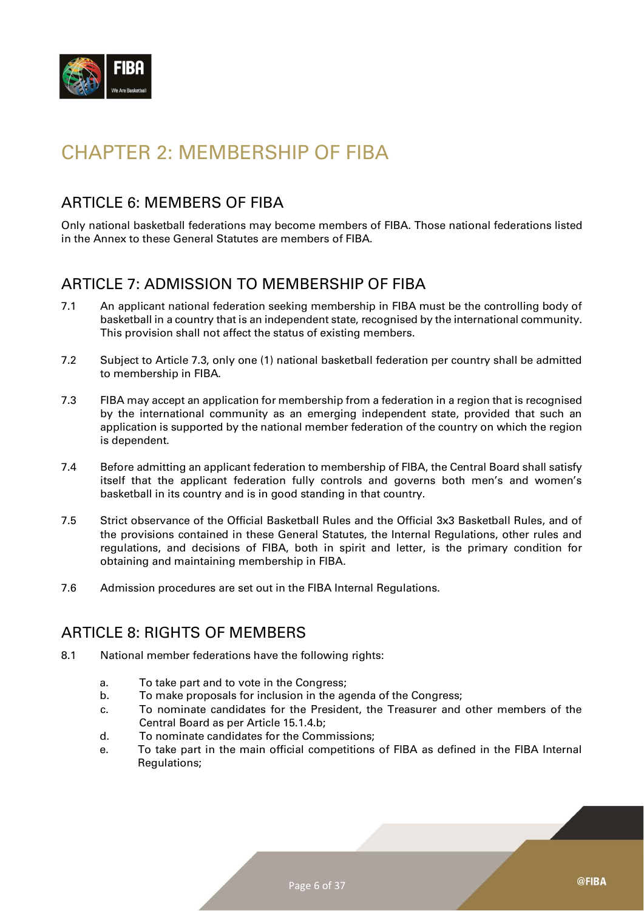

# <span id="page-5-0"></span>CHAPTER 2: MEMBERSHIP OF FIBA

#### <span id="page-5-1"></span>ARTICLE 6: MEMBERS OF FIBA

Only national basketball federations may become members of FIBA. Those national federations listed in the Annex to these General Statutes are members of FIBA.

#### <span id="page-5-2"></span>ARTICLE 7: ADMISSION TO MEMBERSHIP OF FIBA

- 7.1 An applicant national federation seeking membership in FIBA must be the controlling body of basketball in a country that is an independent state, recognised by the international community. This provision shall not affect the status of existing members.
- 7.2 Subject to Article 7.3, only one (1) national basketball federation per country shall be admitted to membership in FIBA.
- 7.3 FIBA may accept an application for membership from a federation in a region that is recognised by the international community as an emerging independent state, provided that such an application is supported by the national member federation of the country on which the region is dependent.
- 7.4 Before admitting an applicant federation to membership of FIBA, the Central Board shall satisfy itself that the applicant federation fully controls and governs both men's and women's basketball in its country and is in good standing in that country.
- 7.5 Strict observance of the Official Basketball Rules and the Official 3x3 Basketball Rules, and of the provisions contained in these General Statutes, the Internal Regulations, other rules and regulations, and decisions of FIBA, both in spirit and letter, is the primary condition for obtaining and maintaining membership in FIBA.
- 7.6 Admission procedures are set out in the FIBA Internal Regulations.

#### <span id="page-5-3"></span>ARTICLE 8: RIGHTS OF MEMBERS

- 8.1 National member federations have the following rights:
	- a. To take part and to vote in the Congress;
	- b. To make proposals for inclusion in the agenda of the Congress;
	- c. To nominate candidates for the President, the Treasurer and other members of the Central Board as per Article 15.1.4.b;
	- d. To nominate candidates for the Commissions;
	- e. To take part in the main official competitions of FIBA as defined in the FIBA Internal Regulations;

@FIBA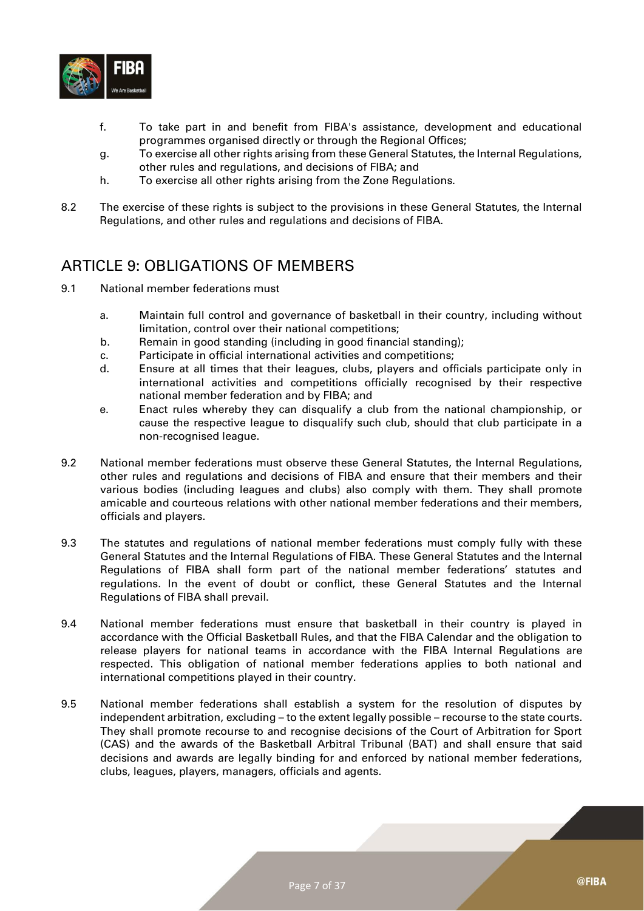

- f. To take part in and benefit from FIBA's assistance, development and educational programmes organised directly or through the Regional Offices;
- g. To exercise all other rights arising from these General Statutes, the Internal Regulations, other rules and regulations, and decisions of FIBA; and
- h. To exercise all other rights arising from the Zone Regulations.
- 8.2 The exercise of these rights is subject to the provisions in these General Statutes, the Internal Regulations, and other rules and regulations and decisions of FIBA.

#### <span id="page-6-0"></span>ARTICLE 9: OBLIGATIONS OF MEMBERS

- 9.1 National member federations must
	- a. Maintain full control and governance of basketball in their country, including without limitation, control over their national competitions;
	- b. Remain in good standing (including in good financial standing);
	- c. Participate in official international activities and competitions;
	- d. Ensure at all times that their leagues, clubs, players and officials participate only in international activities and competitions officially recognised by their respective national member federation and by FIBA; and
	- e. Enact rules whereby they can disqualify a club from the national championship, or cause the respective league to disqualify such club, should that club participate in a non-recognised league.
- 9.2 National member federations must observe these General Statutes, the Internal Regulations, other rules and regulations and decisions of FIBA and ensure that their members and their various bodies (including leagues and clubs) also comply with them. They shall promote amicable and courteous relations with other national member federations and their members, officials and players.
- 9.3 The statutes and regulations of national member federations must comply fully with these General Statutes and the Internal Regulations of FIBA. These General Statutes and the Internal Regulations of FIBA shall form part of the national member federations' statutes and regulations. In the event of doubt or conflict, these General Statutes and the Internal Regulations of FIBA shall prevail.
- 9.4 National member federations must ensure that basketball in their country is played in accordance with the Official Basketball Rules, and that the FIBA Calendar and the obligation to release players for national teams in accordance with the FIBA Internal Regulations are respected. This obligation of national member federations applies to both national and international competitions played in their country.
- 9.5 National member federations shall establish a system for the resolution of disputes by independent arbitration, excluding – to the extent legally possible – recourse to the state courts. They shall promote recourse to and recognise decisions of the Court of Arbitration for Sport (CAS) and the awards of the Basketball Arbitral Tribunal (BAT) and shall ensure that said decisions and awards are legally binding for and enforced by national member federations, clubs, leagues, players, managers, officials and agents.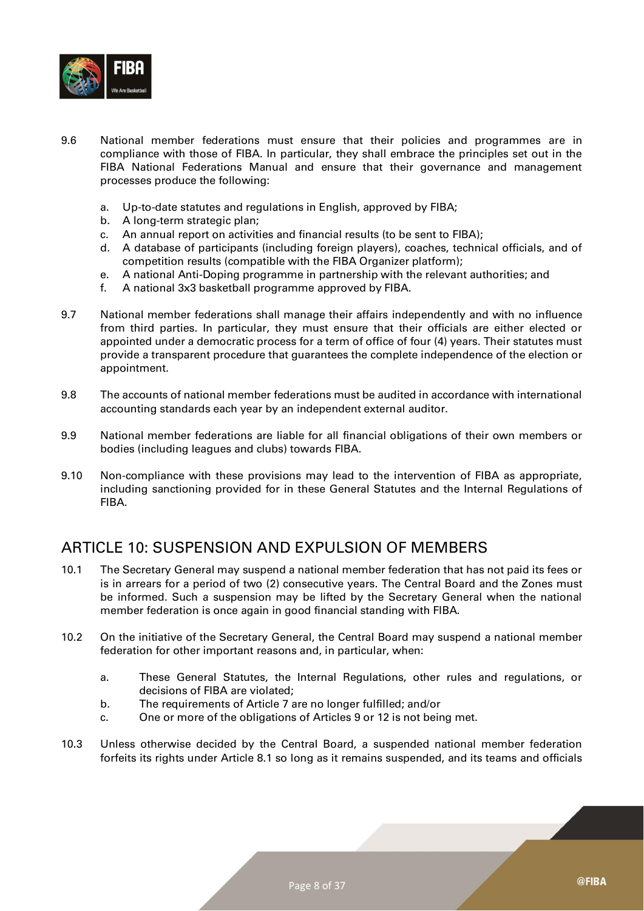

- 9.6 National member federations must ensure that their policies and programmes are in compliance with those of FIBA. In particular, they shall embrace the principles set out in the FIBA National Federations Manual and ensure that their governance and management processes produce the following:
	- a. Up-to-date statutes and regulations in English, approved by FIBA;
	- b. A long-term strategic plan;
	- c. An annual report on activities and financial results (to be sent to FIBA);
	- d. A database of participants (including foreign players), coaches, technical officials, and of competition results (compatible with the FIBA Organizer platform);
	- e. A national Anti-Doping programme in partnership with the relevant authorities; and
	- f. A national 3x3 basketball programme approved by FIBA.
- 9.7 National member federations shall manage their affairs independently and with no influence from third parties. In particular, they must ensure that their officials are either elected or appointed under a democratic process for a term of office of four (4) years. Their statutes must provide a transparent procedure that guarantees the complete independence of the election or appointment.
- 9.8 The accounts of national member federations must be audited in accordance with international accounting standards each year by an independent external auditor.
- 9.9 National member federations are liable for all financial obligations of their own members or bodies (including leagues and clubs) towards FIBA.
- 9.10 Non-compliance with these provisions may lead to the intervention of FIBA as appropriate, including sanctioning provided for in these General Statutes and the Internal Regulations of FIBA.

#### <span id="page-7-0"></span>ARTICLE 10: SUSPENSION AND EXPULSION OF MEMBERS

- 10.1 The Secretary General may suspend a national member federation that has not paid its fees or is in arrears for a period of two (2) consecutive years. The Central Board and the Zones must be informed. Such a suspension may be lifted by the Secretary General when the national member federation is once again in good financial standing with FIBA.
- 10.2 On the initiative of the Secretary General, the Central Board may suspend a national member federation for other important reasons and, in particular, when:
	- a. These General Statutes, the Internal Regulations, other rules and regulations, or decisions of FIBA are violated;
	- b. The requirements of Article 7 are no longer fulfilled; and/or
	- c. One or more of the obligations of Articles 9 or 12 is not being met.
- 10.3 Unless otherwise decided by the Central Board, a suspended national member federation forfeits its rights under Article 8.1 so long as it remains suspended, and its teams and officials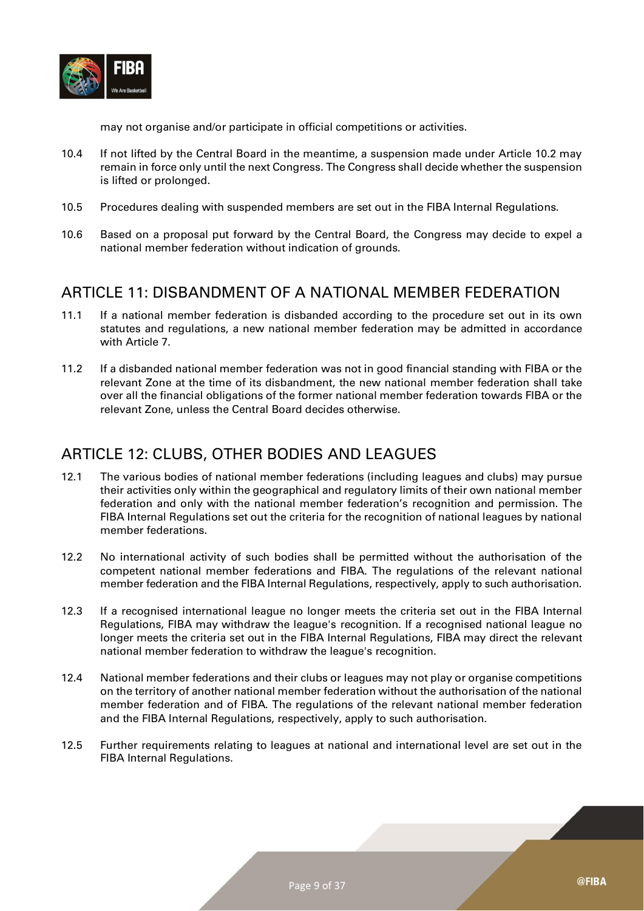

may not organise and/or participate in official competitions or activities.

- 10.4 If not lifted by the Central Board in the meantime, a suspension made under Article 10.2 may remain in force only until the next Congress. The Congress shall decide whether the suspension is lifted or prolonged.
- 10.5 Procedures dealing with suspended members are set out in the FIBA Internal Regulations.
- 10.6 Based on a proposal put forward by the Central Board, the Congress may decide to expel a national member federation without indication of grounds.

#### <span id="page-8-0"></span>ARTICLE 11: DISBANDMENT OF A NATIONAL MEMBER FEDERATION

- 11.1 If a national member federation is disbanded according to the procedure set out in its own statutes and regulations, a new national member federation may be admitted in accordance with Article 7.
- 11.2 If a disbanded national member federation was not in good financial standing with FIBA or the relevant Zone at the time of its disbandment, the new national member federation shall take over all the financial obligations of the former national member federation towards FIBA or the relevant Zone, unless the Central Board decides otherwise.

#### <span id="page-8-1"></span>ARTICLE 12: CLUBS, OTHER BODIES AND LEAGUES

- 12.1 The various bodies of national member federations (including leagues and clubs) may pursue their activities only within the geographical and regulatory limits of their own national member federation and only with the national member federation's recognition and permission. The FIBA Internal Regulations set out the criteria for the recognition of national leagues by national member federations.
- 12.2 No international activity of such bodies shall be permitted without the authorisation of the competent national member federations and FIBA. The regulations of the relevant national member federation and the FIBA Internal Regulations, respectively, apply to such authorisation.
- 12.3 If a recognised international league no longer meets the criteria set out in the FIBA Internal Regulations, FIBA may withdraw the league's recognition. If a recognised national league no longer meets the criteria set out in the FIBA Internal Regulations, FIBA may direct the relevant national member federation to withdraw the league's recognition.
- 12.4 National member federations and their clubs or leagues may not play or organise competitions on the territory of another national member federation without the authorisation of the national member federation and of FIBA. The regulations of the relevant national member federation and the FIBA Internal Regulations, respectively, apply to such authorisation.
- 12.5 Further requirements relating to leagues at national and international level are set out in the FIBA Internal Regulations.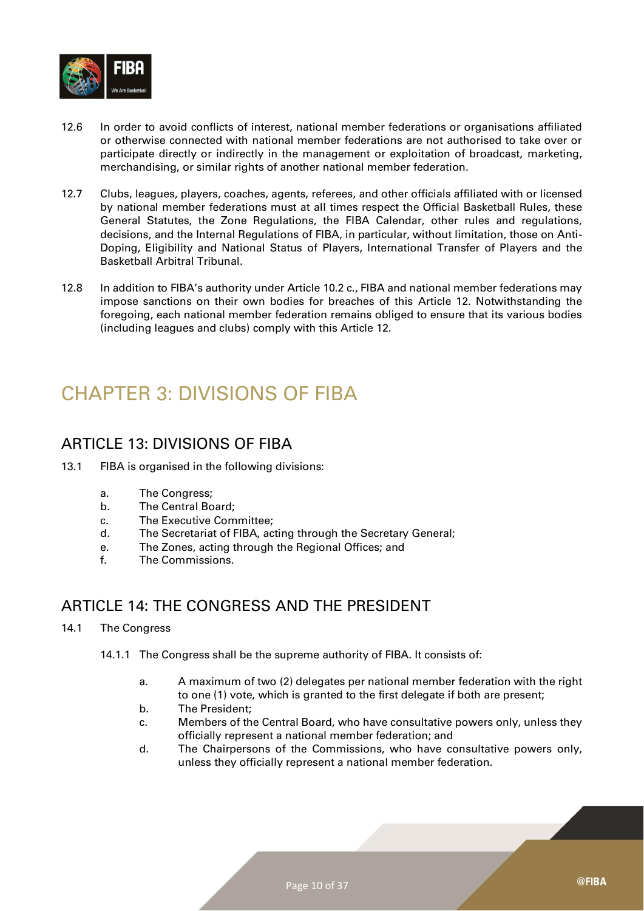

- 12.6 In order to avoid conflicts of interest, national member federations or organisations affiliated or otherwise connected with national member federations are not authorised to take over or participate directly or indirectly in the management or exploitation of broadcast, marketing, merchandising, or similar rights of another national member federation.
- 12.7 Clubs, leagues, players, coaches, agents, referees, and other officials affiliated with or licensed by national member federations must at all times respect the Official Basketball Rules, these General Statutes, the Zone Regulations, the FIBA Calendar, other rules and regulations, decisions, and the Internal Regulations of FIBA, in particular, without limitation, those on Anti-Doping, Eligibility and National Status of Players, International Transfer of Players and the Basketball Arbitral Tribunal.
- 12.8 In addition to FIBA's authority under Article 10.2 c., FIBA and national member federations may impose sanctions on their own bodies for breaches of this Article 12. Notwithstanding the foregoing, each national member federation remains obliged to ensure that its various bodies (including leagues and clubs) comply with this Article 12.

## <span id="page-9-0"></span>CHAPTER 3: DIVISIONS OF FIBA

#### <span id="page-9-1"></span>ARTICLE 13: DIVISIONS OF FIBA

- 13.1 FIBA is organised in the following divisions:
	- a. The Congress;
	- b. The Central Board;
	- c. The Executive Committee;
	- d. The Secretariat of FIBA, acting through the Secretary General;
	- e. The Zones, acting through the Regional Offices; and
	- f. The Commissions.

#### <span id="page-9-2"></span>ARTICLE 14: THE CONGRESS AND THE PRESIDENT

#### 14.1 The Congress

- 14.1.1 The Congress shall be the supreme authority of FIBA. It consists of:
	- a. A maximum of two (2) delegates per national member federation with the right to one (1) vote, which is granted to the first delegate if both are present;
	- b. The President;
	- c. Members of the Central Board, who have consultative powers only, unless they officially represent a national member federation; and
	- d. The Chairpersons of the Commissions, who have consultative powers only, unless they officially represent a national member federation.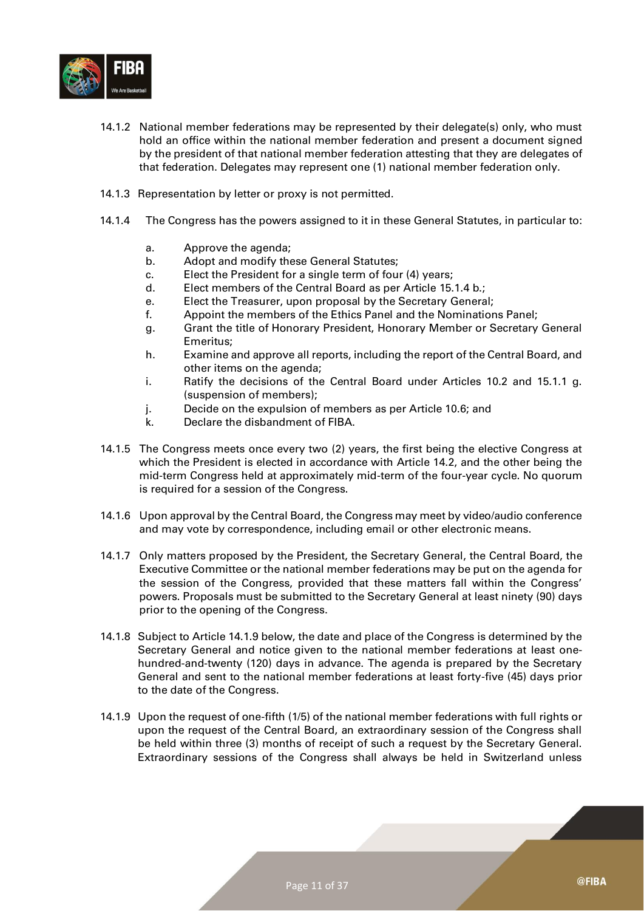

- 14.1.2 National member federations may be represented by their delegate(s) only, who must hold an office within the national member federation and present a document signed by the president of that national member federation attesting that they are delegates of that federation. Delegates may represent one (1) national member federation only.
- 14.1.3 Representation by letter or proxy is not permitted.
- 14.1.4 The Congress has the powers assigned to it in these General Statutes, in particular to:
	- a. Approve the agenda;
	- b. Adopt and modify these General Statutes;
	- c. Elect the President for a single term of four (4) years;
	- d. Elect members of the Central Board as per Article 15.1.4 b.;
	- e. Elect the Treasurer, upon proposal by the Secretary General;
	- f. Appoint the members of the Ethics Panel and the Nominations Panel;
	- g. Grant the title of Honorary President, Honorary Member or Secretary General Emeritus;
	- h. Examine and approve all reports, including the report of the Central Board, and other items on the agenda;
	- i. Ratify the decisions of the Central Board under Articles 10.2 and 15.1.1 g. (suspension of members);
	- j. Decide on the expulsion of members as per Article 10.6; and
	- k. Declare the disbandment of FIBA.
- 14.1.5 The Congress meets once every two (2) years, the first being the elective Congress at which the President is elected in accordance with Article 14.2, and the other being the mid-term Congress held at approximately mid-term of the four-year cycle. No quorum is required for a session of the Congress.
- 14.1.6 Upon approval by the Central Board, the Congress may meet by video/audio conference and may vote by correspondence, including email or other electronic means.
- 14.1.7 Only matters proposed by the President, the Secretary General, the Central Board, the Executive Committee or the national member federations may be put on the agenda for the session of the Congress, provided that these matters fall within the Congress' powers. Proposals must be submitted to the Secretary General at least ninety (90) days prior to the opening of the Congress.
- 14.1.8 Subject to Article 14.1.9 below, the date and place of the Congress is determined by the Secretary General and notice given to the national member federations at least onehundred-and-twenty (120) days in advance. The agenda is prepared by the Secretary General and sent to the national member federations at least forty-five (45) days prior to the date of the Congress.
- 14.1.9 Upon the request of one-fifth (1/5) of the national member federations with full rights or upon the request of the Central Board, an extraordinary session of the Congress shall be held within three (3) months of receipt of such a request by the Secretary General. Extraordinary sessions of the Congress shall always be held in Switzerland unless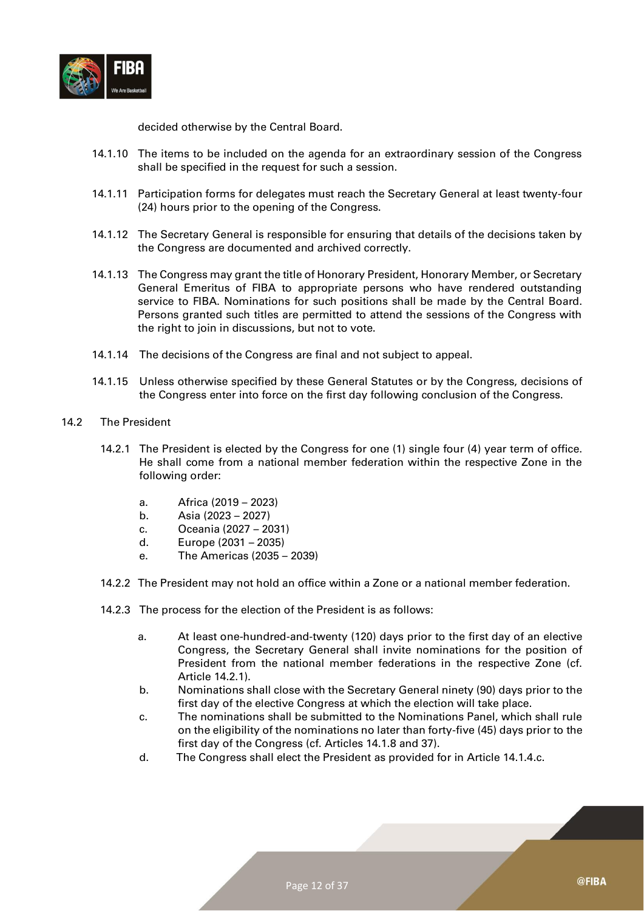

decided otherwise by the Central Board.

- 14.1.10 The items to be included on the agenda for an extraordinary session of the Congress shall be specified in the request for such a session.
- 14.1.11 Participation forms for delegates must reach the Secretary General at least twenty-four (24) hours prior to the opening of the Congress.
- 14.1.12 The Secretary General is responsible for ensuring that details of the decisions taken by the Congress are documented and archived correctly.
- 14.1.13 The Congress may grant the title of Honorary President, Honorary Member, or Secretary General Emeritus of FIBA to appropriate persons who have rendered outstanding service to FIBA. Nominations for such positions shall be made by the Central Board. Persons granted such titles are permitted to attend the sessions of the Congress with the right to join in discussions, but not to vote.
- 14.1.14 The decisions of the Congress are final and not subject to appeal.
- 14.1.15 Unless otherwise specified by these General Statutes or by the Congress, decisions of the Congress enter into force on the first day following conclusion of the Congress.
- 14.2 The President
	- 14.2.1 The President is elected by the Congress for one (1) single four (4) year term of office. He shall come from a national member federation within the respective Zone in the following order:
		- a. Africa (2019 2023)
		- b. Asia (2023 2027)
		- c. Oceania (2027 2031)
		- d. Europe (2031 2035)
		- e. The Americas (2035 2039)
	- 14.2.2 The President may not hold an office within a Zone or a national member federation.
	- 14.2.3 The process for the election of the President is as follows:
		- a. At least one-hundred-and-twenty (120) days prior to the first day of an elective Congress, the Secretary General shall invite nominations for the position of President from the national member federations in the respective Zone (cf. Article 14.2.1).
		- b. Nominations shall close with the Secretary General ninety (90) days prior to the first day of the elective Congress at which the election will take place.
		- c. The nominations shall be submitted to the Nominations Panel, which shall rule on the eligibility of the nominations no later than forty-five (45) days prior to the first day of the Congress (cf. Articles 14.1.8 and 37).
		- d. The Congress shall elect the President as provided for in Article 14.1.4.c.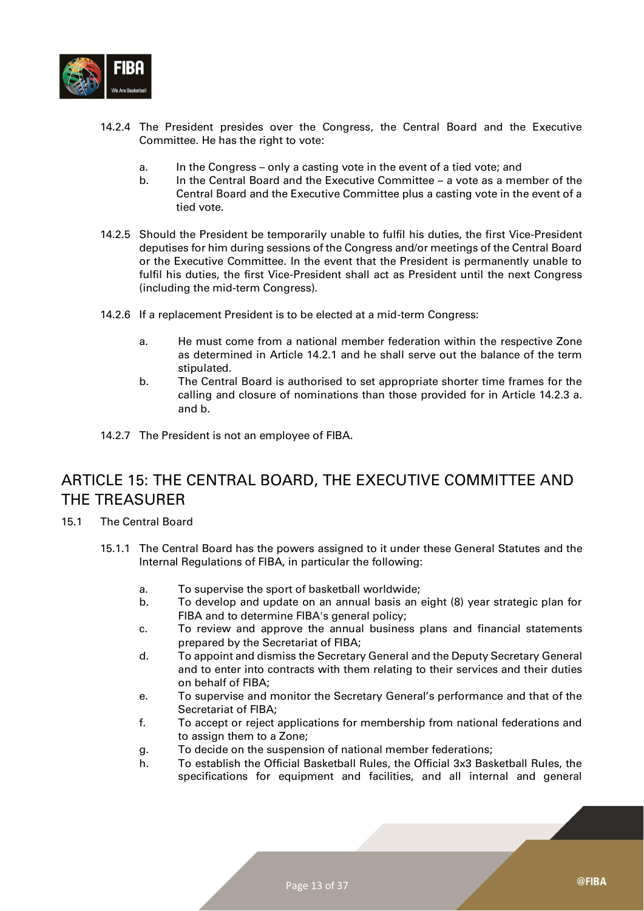

- 14.2.4 The President presides over the Congress, the Central Board and the Executive Committee. He has the right to vote:
	- a. In the Congress only a casting vote in the event of a tied vote; and
	- b. In the Central Board and the Executive Committee a vote as a member of the Central Board and the Executive Committee plus a casting vote in the event of a tied vote.
- 14.2.5 Should the President be temporarily unable to fulfil his duties, the first Vice-President deputises for him during sessions of the Congress and/or meetings of the Central Board or the Executive Committee. In the event that the President is permanently unable to fulfil his duties, the first Vice-President shall act as President until the next Congress (including the mid-term Congress).
- 14.2.6 If a replacement President is to be elected at a mid-term Congress:
	- a. He must come from a national member federation within the respective Zone as determined in Article 14.2.1 and he shall serve out the balance of the term stipulated.
	- b. The Central Board is authorised to set appropriate shorter time frames for the calling and closure of nominations than those provided for in Article 14.2.3 a. and b.
- 14.2.7 The President is not an employee of FIBA.

#### <span id="page-12-0"></span>ARTICLE 15: THE CENTRAL BOARD, THE EXECUTIVE COMMITTEE AND THE TREASURER

- 15.1 The Central Board
	- 15.1.1 The Central Board has the powers assigned to it under these General Statutes and the Internal Regulations of FIBA, in particular the following:
		- a. To supervise the sport of basketball worldwide;
		- b. To develop and update on an annual basis an eight (8) year strategic plan for FIBA and to determine FIBA's general policy;
		- c. To review and approve the annual business plans and financial statements prepared by the Secretariat of FIBA;
		- d. To appoint and dismiss the Secretary General and the Deputy Secretary General and to enter into contracts with them relating to their services and their duties on behalf of FIBA;
		- e. To supervise and monitor the Secretary General's performance and that of the Secretariat of FIBA;
		- f. To accept or reject applications for membership from national federations and to assign them to a Zone;
		- g. To decide on the suspension of national member federations;
		- h. To establish the Official Basketball Rules, the Official 3x3 Basketball Rules, the specifications for equipment and facilities, and all internal and general

@FIBA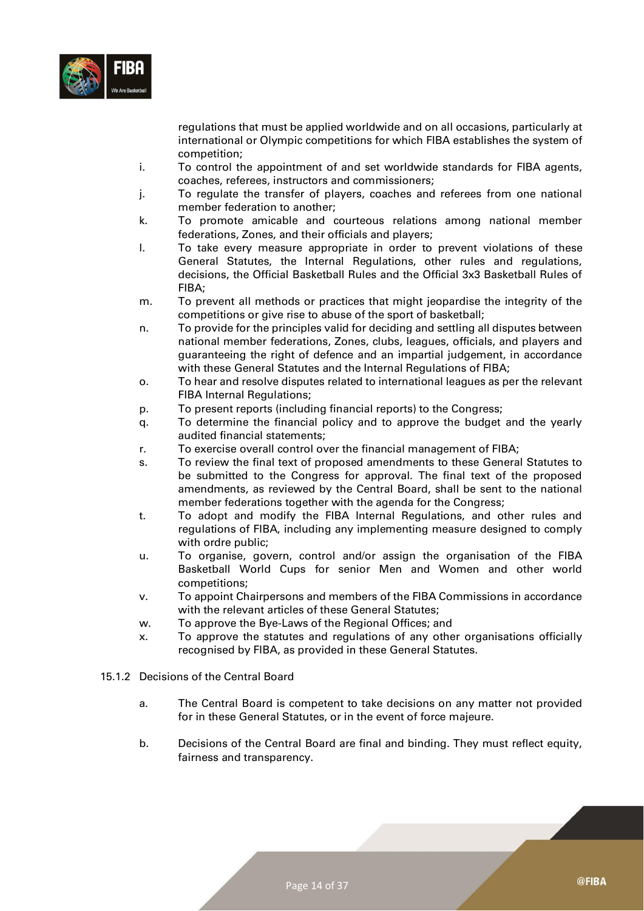

regulations that must be applied worldwide and on all occasions, particularly at international or Olympic competitions for which FIBA establishes the system of competition;

- i. To control the appointment of and set worldwide standards for FIBA agents, coaches, referees, instructors and commissioners;
- j. To regulate the transfer of players, coaches and referees from one national member federation to another;
- k. To promote amicable and courteous relations among national member federations, Zones, and their officials and players;
- l. To take every measure appropriate in order to prevent violations of these General Statutes, the Internal Regulations, other rules and regulations, decisions, the Official Basketball Rules and the Official 3x3 Basketball Rules of FIBA;
- m. To prevent all methods or practices that might jeopardise the integrity of the competitions or give rise to abuse of the sport of basketball;
- n. To provide for the principles valid for deciding and settling all disputes between national member federations, Zones, clubs, leagues, officials, and players and guaranteeing the right of defence and an impartial judgement, in accordance with these General Statutes and the Internal Regulations of FIBA;
- o. To hear and resolve disputes related to international leagues as per the relevant FIBA Internal Regulations;
- p. To present reports (including financial reports) to the Congress;
- q. To determine the financial policy and to approve the budget and the yearly audited financial statements;
- r. To exercise overall control over the financial management of FIBA;
- s. To review the final text of proposed amendments to these General Statutes to be submitted to the Congress for approval. The final text of the proposed amendments, as reviewed by the Central Board, shall be sent to the national member federations together with the agenda for the Congress;
- t. To adopt and modify the FIBA Internal Regulations, and other rules and regulations of FIBA, including any implementing measure designed to comply with ordre public;
- u. To organise, govern, control and/or assign the organisation of the FIBA Basketball World Cups for senior Men and Women and other world competitions;
- v. To appoint Chairpersons and members of the FIBA Commissions in accordance with the relevant articles of these General Statutes;
- w. To approve the Bye-Laws of the Regional Offices; and
- x. To approve the statutes and regulations of any other organisations officially recognised by FIBA, as provided in these General Statutes.
- 15.1.2 Decisions of the Central Board
	- a. The Central Board is competent to take decisions on any matter not provided for in these General Statutes, or in the event of force majeure.
	- b. Decisions of the Central Board are final and binding. They must reflect equity, fairness and transparency.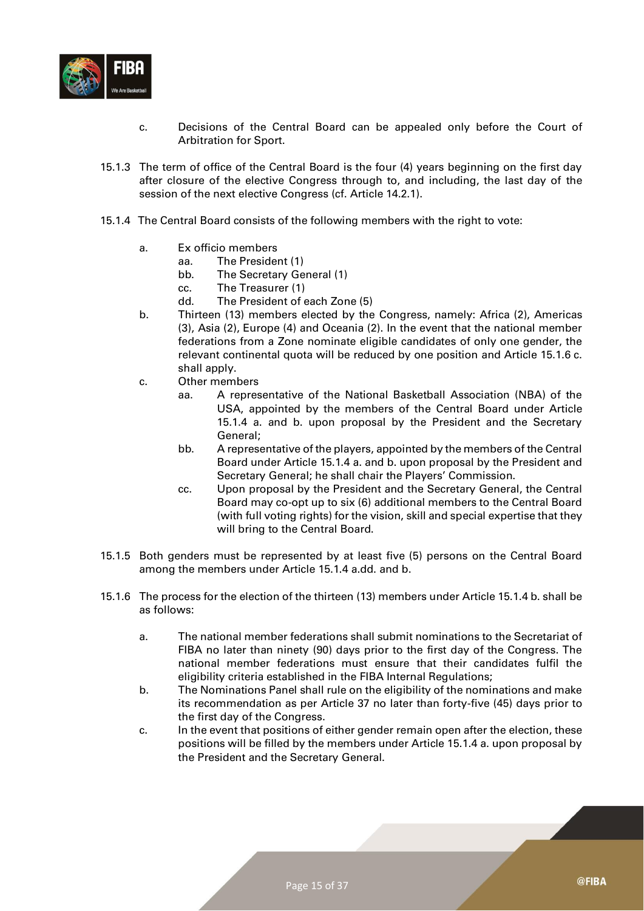

- c. Decisions of the Central Board can be appealed only before the Court of Arbitration for Sport.
- 15.1.3 The term of office of the Central Board is the four (4) years beginning on the first day after closure of the elective Congress through to, and including, the last day of the session of the next elective Congress (cf. Article 14.2.1).
- 15.1.4 The Central Board consists of the following members with the right to vote:
	- a. Ex officio members
		- aa. The President (1)
			- bb. The Secretary General (1)
			- cc. The Treasurer (1)
		- dd. The President of each Zone (5)
	- b. Thirteen (13) members elected by the Congress, namely: Africa (2), Americas (3), Asia (2), Europe (4) and Oceania (2). In the event that the national member federations from a Zone nominate eligible candidates of only one gender, the relevant continental quota will be reduced by one position and Article 15.1.6 c. shall apply.
	- c. Other members
		- aa. A representative of the National Basketball Association (NBA) of the USA, appointed by the members of the Central Board under Article 15.1.4 a. and b. upon proposal by the President and the Secretary General;
		- bb. A representative of the players, appointed by the members of the Central Board under Article 15.1.4 a. and b. upon proposal by the President and Secretary General; he shall chair the Players' Commission.
		- cc. Upon proposal by the President and the Secretary General, the Central Board may co-opt up to six (6) additional members to the Central Board (with full voting rights) for the vision, skill and special expertise that they will bring to the Central Board.
- 15.1.5 Both genders must be represented by at least five (5) persons on the Central Board among the members under Article 15.1.4 a.dd. and b.
- 15.1.6 The process for the election of the thirteen (13) members under Article 15.1.4 b. shall be as follows:
	- a. The national member federations shall submit nominations to the Secretariat of FIBA no later than ninety (90) days prior to the first day of the Congress. The national member federations must ensure that their candidates fulfil the eligibility criteria established in the FIBA Internal Regulations;
	- b. The Nominations Panel shall rule on the eligibility of the nominations and make its recommendation as per Article 37 no later than forty-five (45) days prior to the first day of the Congress.
	- c. In the event that positions of either gender remain open after the election, these positions will be filled by the members under Article 15.1.4 a. upon proposal by the President and the Secretary General.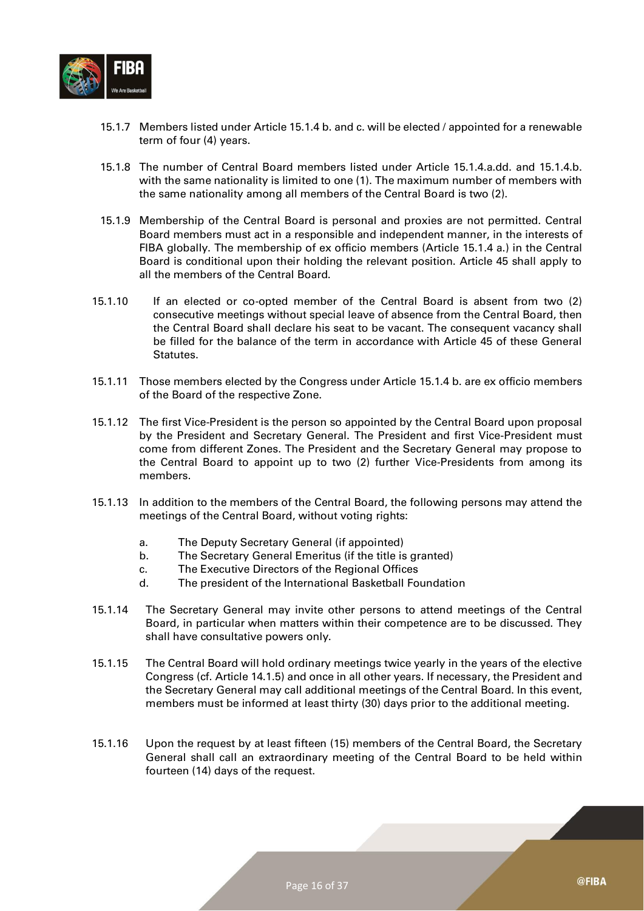

- 15.1.7 Members listed under Article 15.1.4 b. and c. will be elected / appointed for a renewable term of four (4) years.
- 15.1.8 The number of Central Board members listed under Article 15.1.4.a.dd. and 15.1.4.b. with the same nationality is limited to one (1). The maximum number of members with the same nationality among all members of the Central Board is two (2).
- 15.1.9 Membership of the Central Board is personal and proxies are not permitted. Central Board members must act in a responsible and independent manner, in the interests of FIBA globally. The membership of ex officio members (Article 15.1.4 a.) in the Central Board is conditional upon their holding the relevant position. Article 45 shall apply to all the members of the Central Board.
- 15.1.10 If an elected or co-opted member of the Central Board is absent from two (2) consecutive meetings without special leave of absence from the Central Board, then the Central Board shall declare his seat to be vacant. The consequent vacancy shall be filled for the balance of the term in accordance with Article 45 of these General Statutes.
- 15.1.11 Those members elected by the Congress under Article 15.1.4 b. are ex officio members of the Board of the respective Zone.
- 15.1.12 The first Vice-President is the person so appointed by the Central Board upon proposal by the President and Secretary General. The President and first Vice-President must come from different Zones. The President and the Secretary General may propose to the Central Board to appoint up to two (2) further Vice-Presidents from among its members.
- 15.1.13 In addition to the members of the Central Board, the following persons may attend the meetings of the Central Board, without voting rights:
	- a. The Deputy Secretary General (if appointed)
	- b. The Secretary General Emeritus (if the title is granted)
	- c. The Executive Directors of the Regional Offices
	- d. The president of the International Basketball Foundation
- 15.1.14 The Secretary General may invite other persons to attend meetings of the Central Board, in particular when matters within their competence are to be discussed. They shall have consultative powers only.
- 15.1.15 The Central Board will hold ordinary meetings twice yearly in the years of the elective Congress (cf. Article 14.1.5) and once in all other years. If necessary, the President and the Secretary General may call additional meetings of the Central Board. In this event, members must be informed at least thirty (30) days prior to the additional meeting.
- 15.1.16 Upon the request by at least fifteen (15) members of the Central Board, the Secretary General shall call an extraordinary meeting of the Central Board to be held within fourteen (14) days of the request.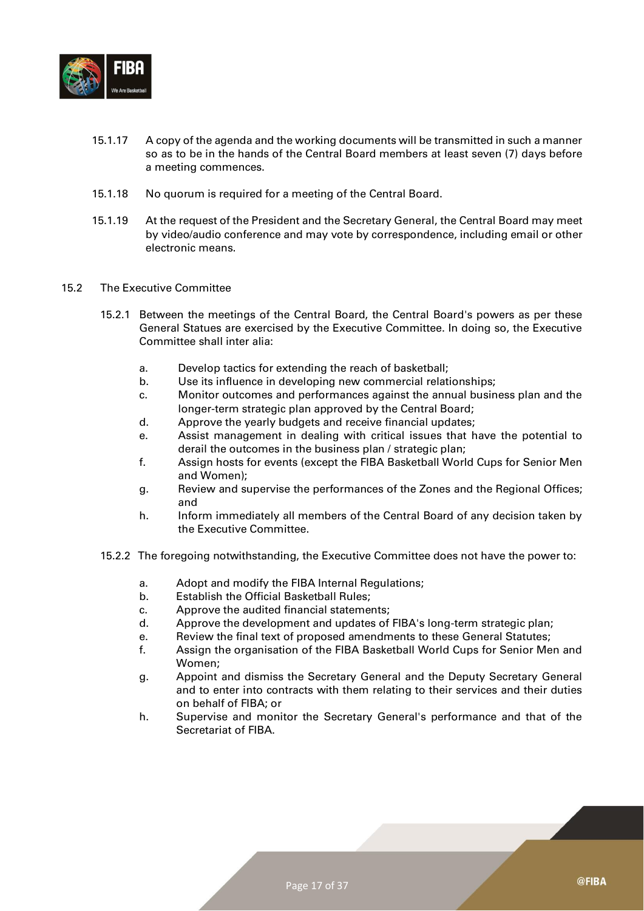

- 15.1.17 A copy of the agenda and the working documents will be transmitted in such a manner so as to be in the hands of the Central Board members at least seven (7) days before a meeting commences.
- 15.1.18 No quorum is required for a meeting of the Central Board.
- 15.1.19 At the request of the President and the Secretary General, the Central Board may meet by video/audio conference and may vote by correspondence, including email or other electronic means.
- 15.2 The Executive Committee
	- 15.2.1 Between the meetings of the Central Board, the Central Board's powers as per these General Statues are exercised by the Executive Committee. In doing so, the Executive Committee shall inter alia:
		- a. Develop tactics for extending the reach of basketball;
		- b. Use its influence in developing new commercial relationships;
		- c. Monitor outcomes and performances against the annual business plan and the longer-term strategic plan approved by the Central Board;
		- d. Approve the yearly budgets and receive financial updates;
		- e. Assist management in dealing with critical issues that have the potential to derail the outcomes in the business plan / strategic plan;
		- f. Assign hosts for events (except the FIBA Basketball World Cups for Senior Men and Women);
		- g. Review and supervise the performances of the Zones and the Regional Offices; and
		- h. Inform immediately all members of the Central Board of any decision taken by the Executive Committee.
	- 15.2.2 The foregoing notwithstanding, the Executive Committee does not have the power to:
		- a. Adopt and modify the FIBA Internal Regulations;
		- b. Establish the Official Basketball Rules;
		- c. Approve the audited financial statements;
		- d. Approve the development and updates of FIBA's long-term strategic plan;
		- e. Review the final text of proposed amendments to these General Statutes;
		- f. Assign the organisation of the FIBA Basketball World Cups for Senior Men and Women;
		- g. Appoint and dismiss the Secretary General and the Deputy Secretary General and to enter into contracts with them relating to their services and their duties on behalf of FIBA; or
		- h. Supervise and monitor the Secretary General's performance and that of the Secretariat of FIBA.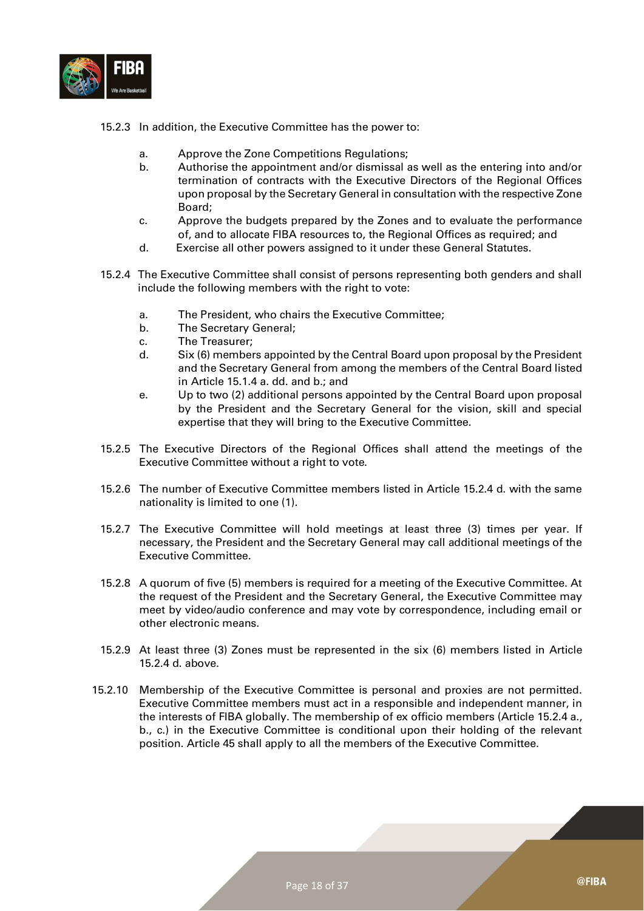

- 15.2.3 In addition, the Executive Committee has the power to:
	- a. Approve the Zone Competitions Regulations;
	- b. Authorise the appointment and/or dismissal as well as the entering into and/or termination of contracts with the Executive Directors of the Regional Offices upon proposal by the Secretary General in consultation with the respective Zone Board;
	- c. Approve the budgets prepared by the Zones and to evaluate the performance of, and to allocate FIBA resources to, the Regional Offices as required; and
	- d. Exercise all other powers assigned to it under these General Statutes.
- 15.2.4 The Executive Committee shall consist of persons representing both genders and shall include the following members with the right to vote:
	- a. The President, who chairs the Executive Committee;
	- b. The Secretary General;
	- c. The Treasurer;
	- d. Six (6) members appointed by the Central Board upon proposal by the President and the Secretary General from among the members of the Central Board listed in Article 15.1.4 a. dd. and b.; and
	- e. Up to two (2) additional persons appointed by the Central Board upon proposal by the President and the Secretary General for the vision, skill and special expertise that they will bring to the Executive Committee.
- 15.2.5 The Executive Directors of the Regional Offices shall attend the meetings of the Executive Committee without a right to vote.
- 15.2.6 The number of Executive Committee members listed in Article 15.2.4 d. with the same nationality is limited to one (1).
- 15.2.7 The Executive Committee will hold meetings at least three (3) times per year. If necessary, the President and the Secretary General may call additional meetings of the Executive Committee.
- 15.2.8 A quorum of five (5) members is required for a meeting of the Executive Committee. At the request of the President and the Secretary General, the Executive Committee may meet by video/audio conference and may vote by correspondence, including email or other electronic means.
- 15.2.9 At least three (3) Zones must be represented in the six (6) members listed in Article 15.2.4 d. above.
- 15.2.10 Membership of the Executive Committee is personal and proxies are not permitted. Executive Committee members must act in a responsible and independent manner, in the interests of FIBA globally. The membership of ex officio members (Article 15.2.4 a., b., c.) in the Executive Committee is conditional upon their holding of the relevant position. Article 45 shall apply to all the members of the Executive Committee.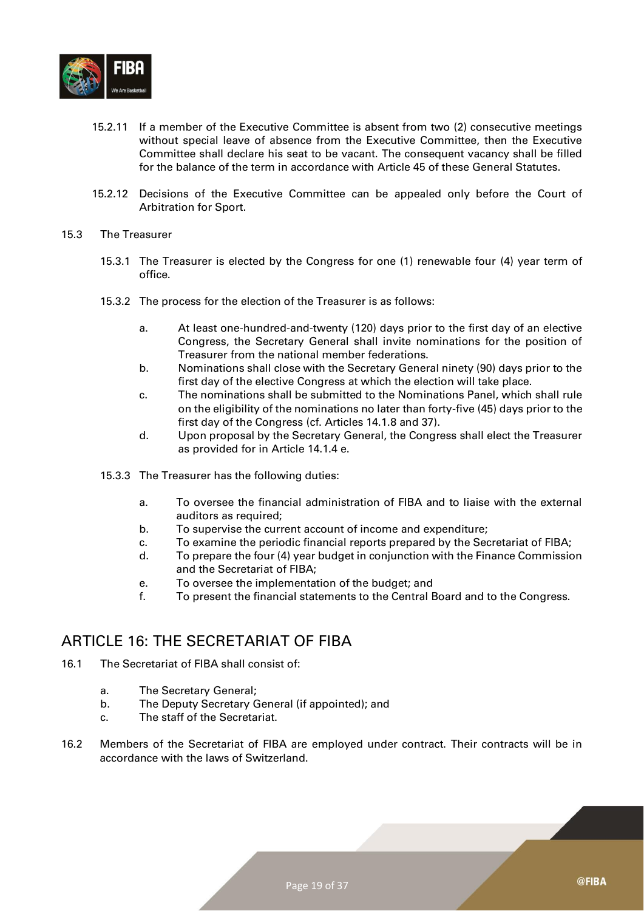

- 15.2.11 If a member of the Executive Committee is absent from two (2) consecutive meetings without special leave of absence from the Executive Committee, then the Executive Committee shall declare his seat to be vacant. The consequent vacancy shall be filled for the balance of the term in accordance with Article 45 of these General Statutes.
- 15.2.12 Decisions of the Executive Committee can be appealed only before the Court of Arbitration for Sport.
- 15.3 The Treasurer
	- 15.3.1 The Treasurer is elected by the Congress for one (1) renewable four (4) year term of office.
	- 15.3.2 The process for the election of the Treasurer is as follows:
		- a. At least one-hundred-and-twenty (120) days prior to the first day of an elective Congress, the Secretary General shall invite nominations for the position of Treasurer from the national member federations.
		- b. Nominations shall close with the Secretary General ninety (90) days prior to the first day of the elective Congress at which the election will take place.
		- c. The nominations shall be submitted to the Nominations Panel, which shall rule on the eligibility of the nominations no later than forty-five (45) days prior to the first day of the Congress (cf. Articles 14.1.8 and 37).
		- d. Upon proposal by the Secretary General, the Congress shall elect the Treasurer as provided for in Article 14.1.4 e.
	- 15.3.3 The Treasurer has the following duties:
		- a. To oversee the financial administration of FIBA and to liaise with the external auditors as required:
		- b. To supervise the current account of income and expenditure;
		- c. To examine the periodic financial reports prepared by the Secretariat of FIBA;
		- d. To prepare the four (4) year budget in conjunction with the Finance Commission and the Secretariat of FIBA;
		- e. To oversee the implementation of the budget; and
		- f. To present the financial statements to the Central Board and to the Congress.

#### <span id="page-18-0"></span>ARTICLE 16: THE SECRETARIAT OF FIBA

- 16.1 The Secretariat of FIBA shall consist of:
	- a. The Secretary General;
	- b. The Deputy Secretary General (if appointed); and
	- c. The staff of the Secretariat.
- 16.2 Members of the Secretariat of FIBA are employed under contract. Their contracts will be in accordance with the laws of Switzerland.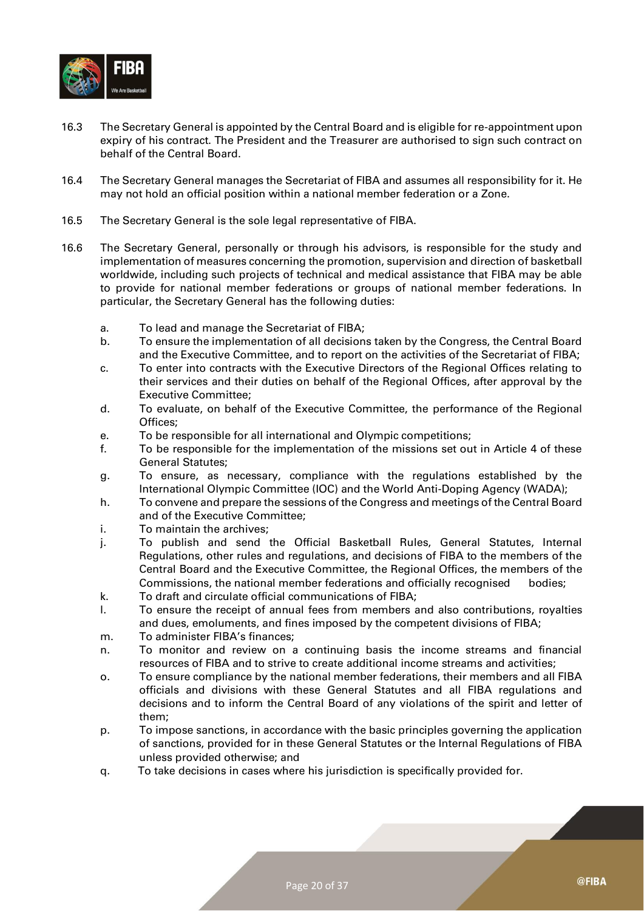

- 16.3 The Secretary General is appointed by the Central Board and is eligible for re-appointment upon expiry of his contract. The President and the Treasurer are authorised to sign such contract on behalf of the Central Board.
- 16.4 The Secretary General manages the Secretariat of FIBA and assumes all responsibility for it. He may not hold an official position within a national member federation or a Zone.
- 16.5 The Secretary General is the sole legal representative of FIBA.
- 16.6 The Secretary General, personally or through his advisors, is responsible for the study and implementation of measures concerning the promotion, supervision and direction of basketball worldwide, including such projects of technical and medical assistance that FIBA may be able to provide for national member federations or groups of national member federations. In particular, the Secretary General has the following duties:
	- a. To lead and manage the Secretariat of FIBA;
	- b. To ensure the implementation of all decisions taken by the Congress, the Central Board and the Executive Committee, and to report on the activities of the Secretariat of FIBA;
	- c. To enter into contracts with the Executive Directors of the Regional Offices relating to their services and their duties on behalf of the Regional Offices, after approval by the Executive Committee;
	- d. To evaluate, on behalf of the Executive Committee, the performance of the Regional Offices;
	- e. To be responsible for all international and Olympic competitions;
	- f. To be responsible for the implementation of the missions set out in Article 4 of these General Statutes;
	- g. To ensure, as necessary, compliance with the regulations established by the International Olympic Committee (IOC) and the World Anti-Doping Agency (WADA);
	- h. To convene and prepare the sessions of the Congress and meetings of the Central Board and of the Executive Committee;
	- i. To maintain the archives;
	- j. To publish and send the Official Basketball Rules, General Statutes, Internal Regulations, other rules and regulations, and decisions of FIBA to the members of the Central Board and the Executive Committee, the Regional Offices, the members of the Commissions, the national member federations and officially recognised bodies;
	- k. To draft and circulate official communications of FIBA;
	- l. To ensure the receipt of annual fees from members and also contributions, royalties and dues, emoluments, and fines imposed by the competent divisions of FIBA;
	- m. To administer FIBA's finances;
	- n. To monitor and review on a continuing basis the income streams and financial resources of FIBA and to strive to create additional income streams and activities;
	- o. To ensure compliance by the national member federations, their members and all FIBA officials and divisions with these General Statutes and all FIBA regulations and decisions and to inform the Central Board of any violations of the spirit and letter of them;
	- p. To impose sanctions, in accordance with the basic principles governing the application of sanctions, provided for in these General Statutes or the Internal Regulations of FIBA unless provided otherwise; and
	- q. To take decisions in cases where his jurisdiction is specifically provided for.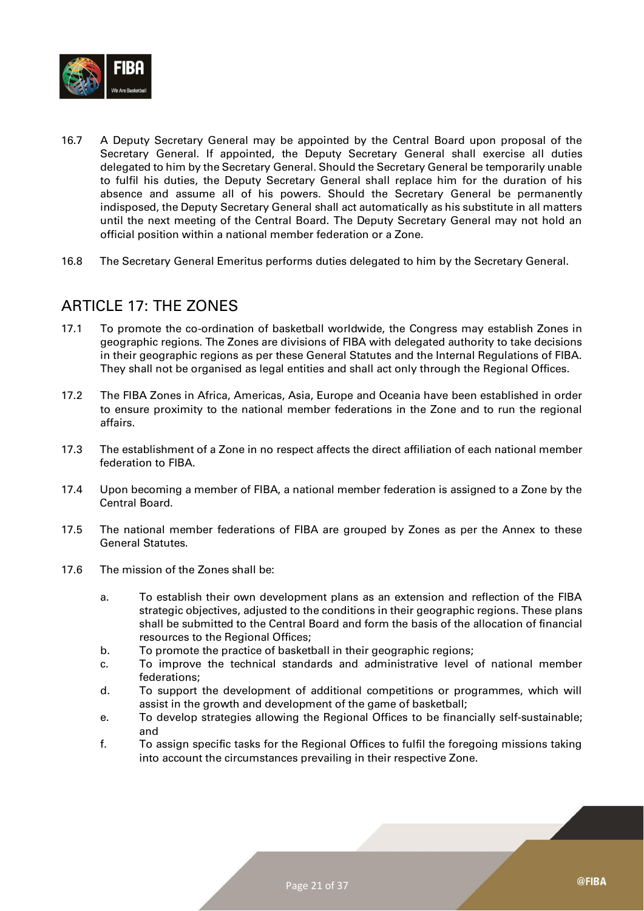

- 16.7 A Deputy Secretary General may be appointed by the Central Board upon proposal of the Secretary General. If appointed, the Deputy Secretary General shall exercise all duties delegated to him by the Secretary General. Should the Secretary General be temporarily unable to fulfil his duties, the Deputy Secretary General shall replace him for the duration of his absence and assume all of his powers. Should the Secretary General be permanently indisposed, the Deputy Secretary General shall act automatically as his substitute in all matters until the next meeting of the Central Board. The Deputy Secretary General may not hold an official position within a national member federation or a Zone.
- 16.8 The Secretary General Emeritus performs duties delegated to him by the Secretary General.

#### <span id="page-20-0"></span>ARTICLE 17: THE ZONES

- 17.1 To promote the co-ordination of basketball worldwide, the Congress may establish Zones in geographic regions. The Zones are divisions of FIBA with delegated authority to take decisions in their geographic regions as per these General Statutes and the Internal Regulations of FIBA. They shall not be organised as legal entities and shall act only through the Regional Offices.
- 17.2 The FIBA Zones in Africa, Americas, Asia, Europe and Oceania have been established in order to ensure proximity to the national member federations in the Zone and to run the regional affairs.
- 17.3 The establishment of a Zone in no respect affects the direct affiliation of each national member federation to FIBA.
- 17.4 Upon becoming a member of FIBA, a national member federation is assigned to a Zone by the Central Board.
- 17.5 The national member federations of FIBA are grouped by Zones as per the Annex to these General Statutes.
- 17.6 The mission of the Zones shall be:
	- a. To establish their own development plans as an extension and reflection of the FIBA strategic objectives, adjusted to the conditions in their geographic regions. These plans shall be submitted to the Central Board and form the basis of the allocation of financial resources to the Regional Offices;
	- b. To promote the practice of basketball in their geographic regions;
	- c. To improve the technical standards and administrative level of national member federations;
	- d. To support the development of additional competitions or programmes, which will assist in the growth and development of the game of basketball;
	- e. To develop strategies allowing the Regional Offices to be financially self-sustainable; and
	- f. To assign specific tasks for the Regional Offices to fulfil the foregoing missions taking into account the circumstances prevailing in their respective Zone.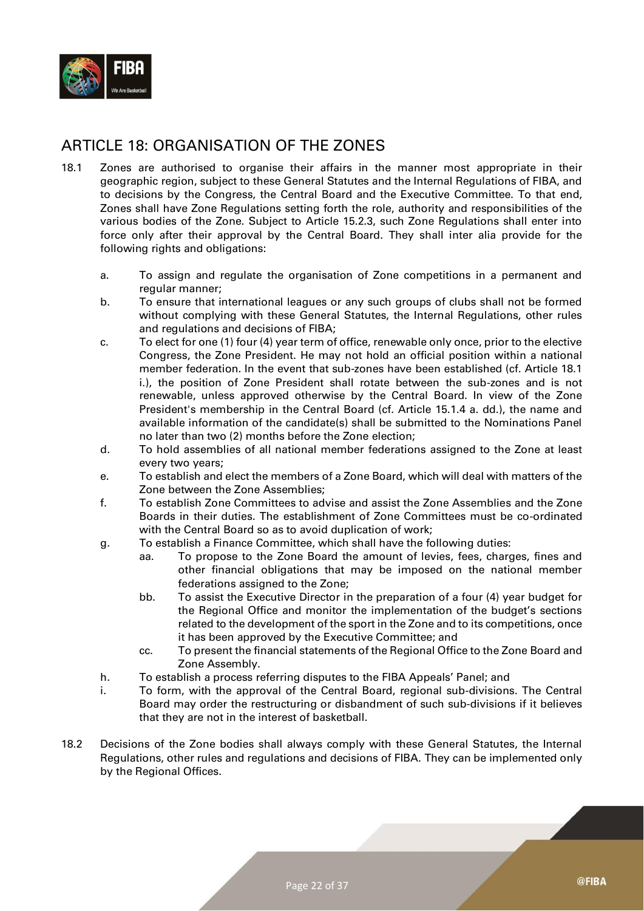

#### <span id="page-21-0"></span>ARTICLE 18: ORGANISATION OF THE ZONES

- 18.1 Zones are authorised to organise their affairs in the manner most appropriate in their geographic region, subject to these General Statutes and the Internal Regulations of FIBA, and to decisions by the Congress, the Central Board and the Executive Committee. To that end, Zones shall have Zone Regulations setting forth the role, authority and responsibilities of the various bodies of the Zone. Subject to Article 15.2.3, such Zone Regulations shall enter into force only after their approval by the Central Board. They shall inter alia provide for the following rights and obligations:
	- a. To assign and regulate the organisation of Zone competitions in a permanent and regular manner;
	- b. To ensure that international leagues or any such groups of clubs shall not be formed without complying with these General Statutes, the Internal Regulations, other rules and regulations and decisions of FIBA;
	- c. To elect for one (1) four (4) year term of office, renewable only once, prior to the elective Congress, the Zone President. He may not hold an official position within a national member federation. In the event that sub-zones have been established (cf. Article 18.1 i.), the position of Zone President shall rotate between the sub-zones and is not renewable, unless approved otherwise by the Central Board. In view of the Zone President's membership in the Central Board (cf. Article 15.1.4 a. dd.), the name and available information of the candidate(s) shall be submitted to the Nominations Panel no later than two (2) months before the Zone election;
	- d. To hold assemblies of all national member federations assigned to the Zone at least every two years;
	- e. To establish and elect the members of a Zone Board, which will deal with matters of the Zone between the Zone Assemblies;
	- f. To establish Zone Committees to advise and assist the Zone Assemblies and the Zone Boards in their duties. The establishment of Zone Committees must be co-ordinated with the Central Board so as to avoid duplication of work;
	- g. To establish a Finance Committee, which shall have the following duties:
		- aa. To propose to the Zone Board the amount of levies, fees, charges, fines and other financial obligations that may be imposed on the national member federations assigned to the Zone;
		- bb. To assist the Executive Director in the preparation of a four (4) year budget for the Regional Office and monitor the implementation of the budget's sections related to the development of the sport in the Zone and to its competitions, once it has been approved by the Executive Committee; and
		- cc. To present the financial statements of the Regional Office to the Zone Board and Zone Assembly.
	- h. To establish a process referring disputes to the FIBA Appeals' Panel; and
	- i. To form, with the approval of the Central Board, regional sub-divisions. The Central Board may order the restructuring or disbandment of such sub-divisions if it believes that they are not in the interest of basketball.
- 18.2 Decisions of the Zone bodies shall always comply with these General Statutes, the Internal Regulations, other rules and regulations and decisions of FIBA. They can be implemented only by the Regional Offices.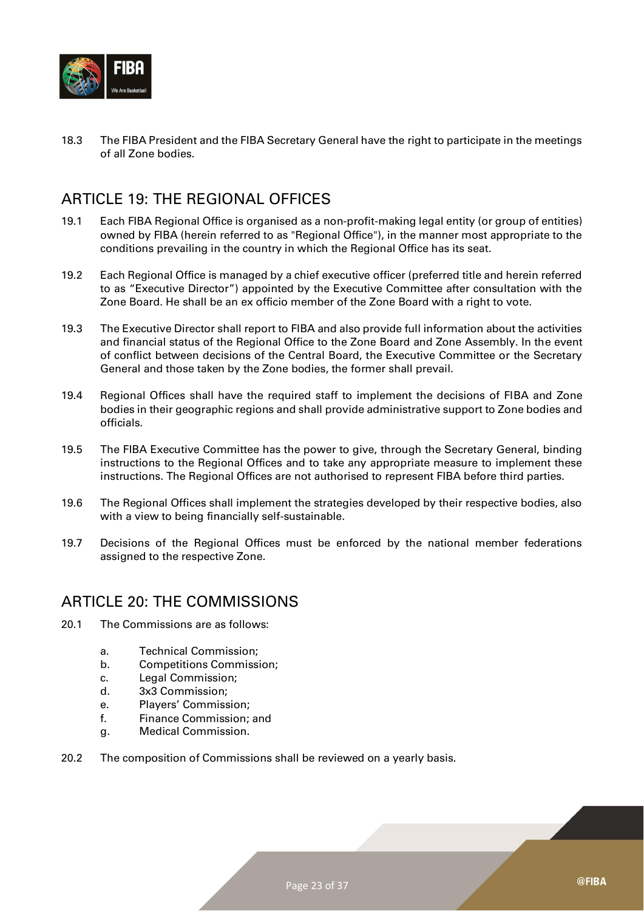

18.3 The FIBA President and the FIBA Secretary General have the right to participate in the meetings of all Zone bodies.

#### <span id="page-22-0"></span>ARTICLE 19: THE REGIONAL OFFICES

- 19.1 Each FIBA Regional Office is organised as a non-profit-making legal entity (or group of entities) owned by FIBA (herein referred to as "Regional Office"), in the manner most appropriate to the conditions prevailing in the country in which the Regional Office has its seat.
- 19.2 Each Regional Office is managed by a chief executive officer (preferred title and herein referred to as "Executive Director") appointed by the Executive Committee after consultation with the Zone Board. He shall be an ex officio member of the Zone Board with a right to vote.
- 19.3 The Executive Director shall report to FIBA and also provide full information about the activities and financial status of the Regional Office to the Zone Board and Zone Assembly. In the event of conflict between decisions of the Central Board, the Executive Committee or the Secretary General and those taken by the Zone bodies, the former shall prevail.
- 19.4 Regional Offices shall have the required staff to implement the decisions of FIBA and Zone bodies in their geographic regions and shall provide administrative support to Zone bodies and officials.
- 19.5 The FIBA Executive Committee has the power to give, through the Secretary General, binding instructions to the Regional Offices and to take any appropriate measure to implement these instructions. The Regional Offices are not authorised to represent FIBA before third parties.
- 19.6 The Regional Offices shall implement the strategies developed by their respective bodies, also with a view to being financially self-sustainable.
- 19.7 Decisions of the Regional Offices must be enforced by the national member federations assigned to the respective Zone.

#### <span id="page-22-1"></span>ARTICLE 20: THE COMMISSIONS

- 20.1 The Commissions are as follows:
	- a. Technical Commission;
	- b. Competitions Commission;
	- c. Legal Commission;
	- d. 3x3 Commission;
	- e. Players' Commission;
	- f. Finance Commission; and
	- g. Medical Commission.
- 20.2 The composition of Commissions shall be reviewed on a yearly basis.

@FIBA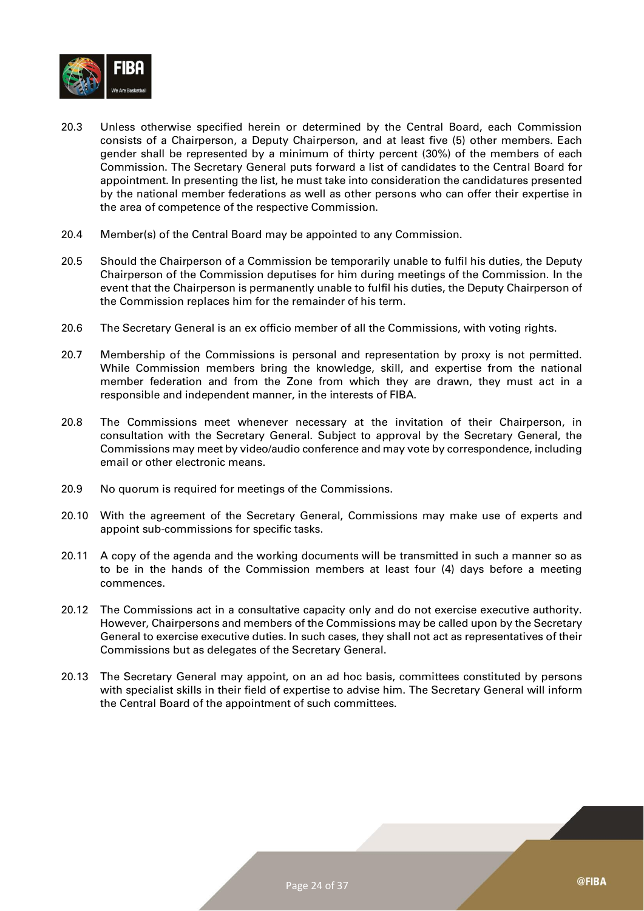

- 20.3 Unless otherwise specified herein or determined by the Central Board, each Commission consists of a Chairperson, a Deputy Chairperson, and at least five (5) other members. Each gender shall be represented by a minimum of thirty percent (30%) of the members of each Commission. The Secretary General puts forward a list of candidates to the Central Board for appointment. In presenting the list, he must take into consideration the candidatures presented by the national member federations as well as other persons who can offer their expertise in the area of competence of the respective Commission.
- 20.4 Member(s) of the Central Board may be appointed to any Commission.
- 20.5 Should the Chairperson of a Commission be temporarily unable to fulfil his duties, the Deputy Chairperson of the Commission deputises for him during meetings of the Commission. In the event that the Chairperson is permanently unable to fulfil his duties, the Deputy Chairperson of the Commission replaces him for the remainder of his term.
- 20.6 The Secretary General is an ex officio member of all the Commissions, with voting rights.
- 20.7 Membership of the Commissions is personal and representation by proxy is not permitted. While Commission members bring the knowledge, skill, and expertise from the national member federation and from the Zone from which they are drawn, they must act in a responsible and independent manner, in the interests of FIBA.
- 20.8 The Commissions meet whenever necessary at the invitation of their Chairperson, in consultation with the Secretary General. Subject to approval by the Secretary General, the Commissions may meet by video/audio conference and may vote by correspondence, including email or other electronic means.
- 20.9 No quorum is required for meetings of the Commissions.
- 20.10 With the agreement of the Secretary General, Commissions may make use of experts and appoint sub-commissions for specific tasks.
- 20.11 A copy of the agenda and the working documents will be transmitted in such a manner so as to be in the hands of the Commission members at least four (4) days before a meeting commences.
- 20.12 The Commissions act in a consultative capacity only and do not exercise executive authority. However, Chairpersons and members of the Commissions may be called upon by the Secretary General to exercise executive duties. In such cases, they shall not act as representatives of their Commissions but as delegates of the Secretary General.
- 20.13 The Secretary General may appoint, on an ad hoc basis, committees constituted by persons with specialist skills in their field of expertise to advise him. The Secretary General will inform the Central Board of the appointment of such committees.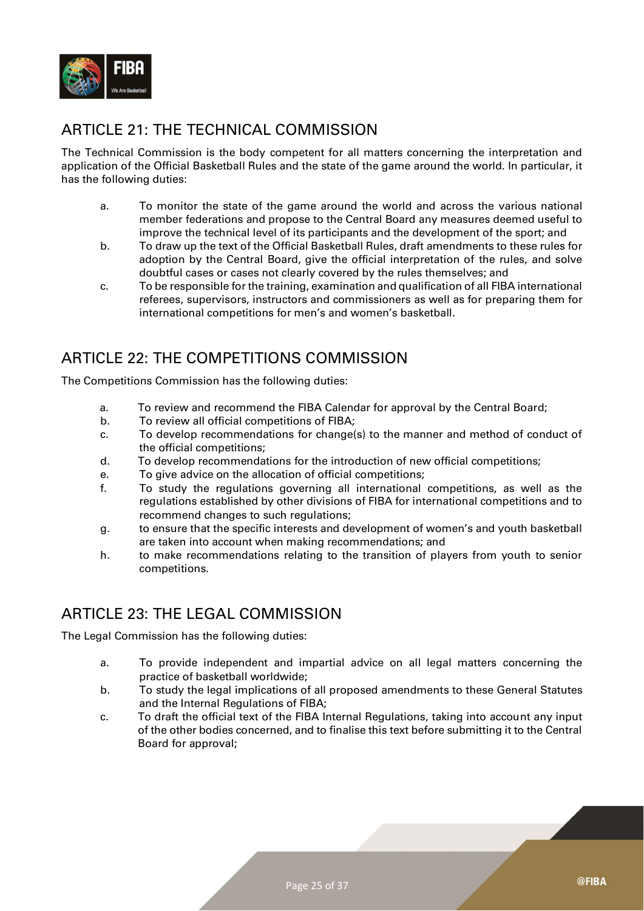

## <span id="page-24-0"></span>ARTICLE 21: THE TECHNICAL COMMISSION

The Technical Commission is the body competent for all matters concerning the interpretation and application of the Official Basketball Rules and the state of the game around the world. In particular, it has the following duties:

- a. To monitor the state of the game around the world and across the various national member federations and propose to the Central Board any measures deemed useful to improve the technical level of its participants and the development of the sport; and
- b. To draw up the text of the Official Basketball Rules, draft amendments to these rules for adoption by the Central Board, give the official interpretation of the rules, and solve doubtful cases or cases not clearly covered by the rules themselves; and
- c. To be responsible for the training, examination and qualification of all FIBA international referees, supervisors, instructors and commissioners as well as for preparing them for international competitions for men's and women's basketball.

## <span id="page-24-1"></span>ARTICLE 22: THE COMPETITIONS COMMISSION

The Competitions Commission has the following duties:

- a. To review and recommend the FIBA Calendar for approval by the Central Board;
- b. To review all official competitions of FIBA;
- c. To develop recommendations for change(s) to the manner and method of conduct of the official competitions;
- d. To develop recommendations for the introduction of new official competitions;
- e. To give advice on the allocation of official competitions;
- f. To study the regulations governing all international competitions, as well as the regulations established by other divisions of FIBA for international competitions and to recommend changes to such regulations;
- g. to ensure that the specific interests and development of women's and youth basketball are taken into account when making recommendations; and
- h. to make recommendations relating to the transition of players from youth to senior competitions.

## <span id="page-24-2"></span>ARTICLE 23: THE LEGAL COMMISSION

The Legal Commission has the following duties:

- a. To provide independent and impartial advice on all legal matters concerning the practice of basketball worldwide;
- b. To study the legal implications of all proposed amendments to these General Statutes and the Internal Regulations of FIBA;
- c. To draft the official text of the FIBA Internal Regulations, taking into account any input of the other bodies concerned, and to finalise this text before submitting it to the Central Board for approval;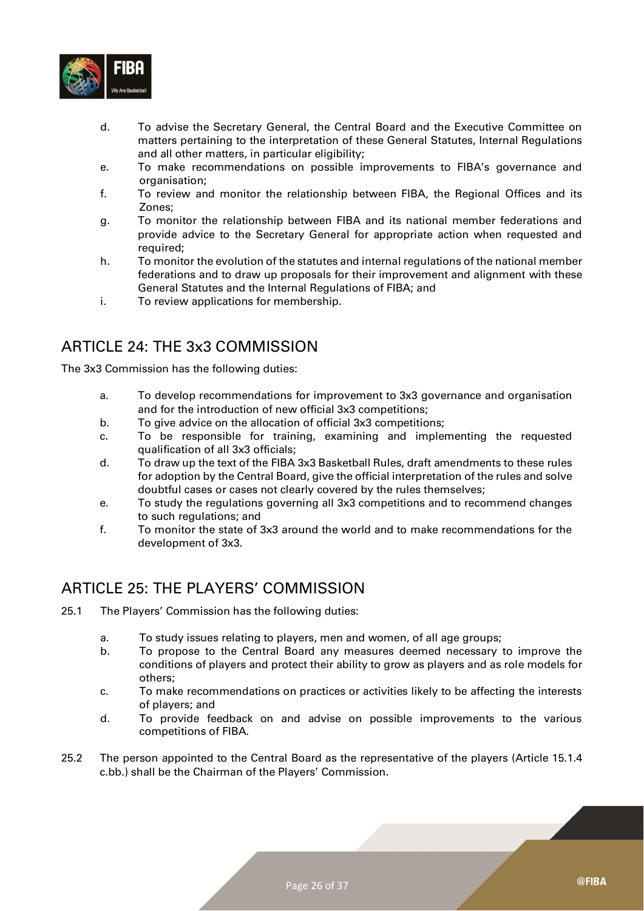

- d. To advise the Secretary General, the Central Board and the Executive Committee on matters pertaining to the interpretation of these General Statutes, Internal Regulations and all other matters, in particular eligibility;
- e. To make recommendations on possible improvements to FIBA's governance and organisation;
- f. To review and monitor the relationship between FIBA, the Regional Offices and its Zones;
- g. To monitor the relationship between FIBA and its national member federations and provide advice to the Secretary General for appropriate action when requested and required;
- h. To monitor the evolution of the statutes and internal regulations of the national member federations and to draw up proposals for their improvement and alignment with these General Statutes and the Internal Regulations of FIBA; and
- i. To review applications for membership.

## <span id="page-25-0"></span>ARTICLE 24: THE 3x3 COMMISSION

The 3x3 Commission has the following duties:

- a. To develop recommendations for improvement to 3x3 governance and organisation and for the introduction of new official 3x3 competitions;
- b. To give advice on the allocation of official 3x3 competitions;
- c. To be responsible for training, examining and implementing the requested qualification of all 3x3 officials;
- d. To draw up the text of the FIBA 3x3 Basketball Rules, draft amendments to these rules for adoption by the Central Board, give the official interpretation of the rules and solve doubtful cases or cases not clearly covered by the rules themselves;
- e. To study the regulations governing all 3x3 competitions and to recommend changes to such regulations; and
- f. To monitor the state of 3x3 around the world and to make recommendations for the development of 3x3.

#### <span id="page-25-1"></span>ARTICLE 25: THE PLAYERS' COMMISSION

- 25.1 The Players' Commission has the following duties:
	- a. To study issues relating to players, men and women, of all age groups;
	- b. To propose to the Central Board any measures deemed necessary to improve the conditions of players and protect their ability to grow as players and as role models for others;
	- c. To make recommendations on practices or activities likely to be affecting the interests of players; and
	- d. To provide feedback on and advise on possible improvements to the various competitions of FIBA.
- 25.2 The person appointed to the Central Board as the representative of the players (Article 15.1.4 c.bb.) shall be the Chairman of the Players' Commission.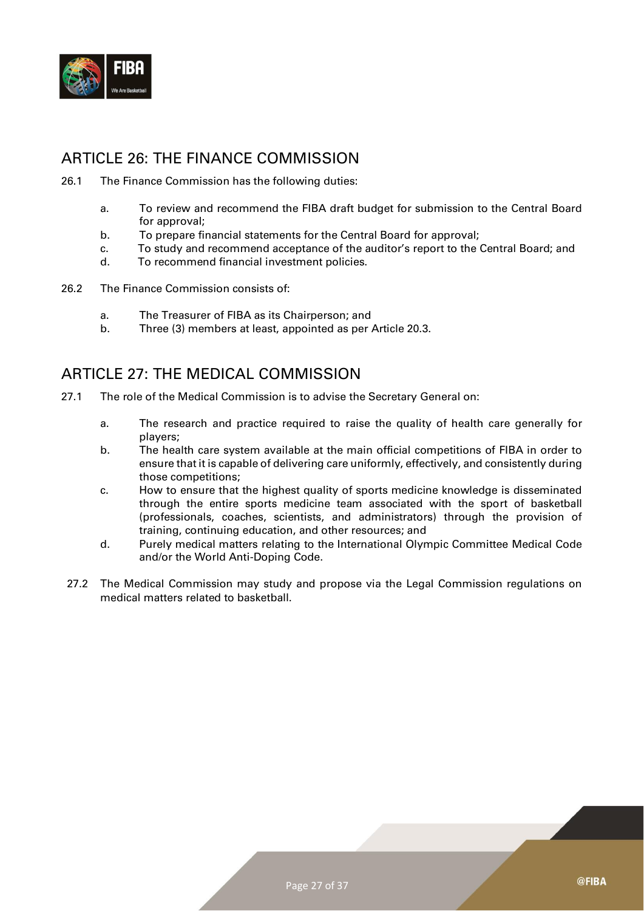

#### <span id="page-26-0"></span>ARTICLE 26: THE FINANCE COMMISSION

- 26.1 The Finance Commission has the following duties:
	- a. To review and recommend the FIBA draft budget for submission to the Central Board for approval;
	- b. To prepare financial statements for the Central Board for approval;
	- c. To study and recommend acceptance of the auditor's report to the Central Board; and
	- d. To recommend financial investment policies.
- 26.2 The Finance Commission consists of:
	- a. The Treasurer of FIBA as its Chairperson; and
	- b. Three (3) members at least, appointed as per Article 20.3.

#### <span id="page-26-1"></span>ARTICLE 27: THE MEDICAL COMMISSION

- 27.1 The role of the Medical Commission is to advise the Secretary General on:
	- a. The research and practice required to raise the quality of health care generally for players;
	- b. The health care system available at the main official competitions of FIBA in order to ensure that it is capable of delivering care uniformly, effectively, and consistently during those competitions;
	- c. How to ensure that the highest quality of sports medicine knowledge is disseminated through the entire sports medicine team associated with the sport of basketball (professionals, coaches, scientists, and administrators) through the provision of training, continuing education, and other resources; and
	- d. Purely medical matters relating to the International Olympic Committee Medical Code and/or the World Anti-Doping Code.
- 27.2 The Medical Commission may study and propose via the Legal Commission regulations on medical matters related to basketball.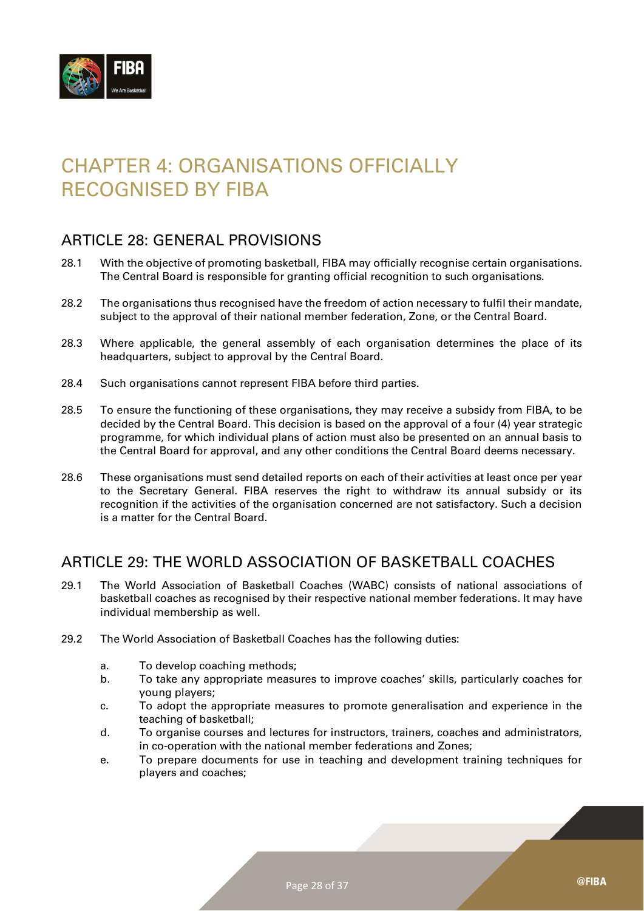

# <span id="page-27-0"></span>CHAPTER 4: ORGANISATIONS OFFICIALLY RECOGNISED BY FIBA

#### <span id="page-27-1"></span>ARTICLE 28: GENERAL PROVISIONS

- 28.1 With the objective of promoting basketball, FIBA may officially recognise certain organisations. The Central Board is responsible for granting official recognition to such organisations.
- 28.2 The organisations thus recognised have the freedom of action necessary to fulfil their mandate, subject to the approval of their national member federation, Zone, or the Central Board.
- 28.3 Where applicable, the general assembly of each organisation determines the place of its headquarters, subject to approval by the Central Board.
- 28.4 Such organisations cannot represent FIBA before third parties.
- 28.5 To ensure the functioning of these organisations, they may receive a subsidy from FIBA, to be decided by the Central Board. This decision is based on the approval of a four (4) year strategic programme, for which individual plans of action must also be presented on an annual basis to the Central Board for approval, and any other conditions the Central Board deems necessary.
- 28.6 These organisations must send detailed reports on each of their activities at least once per year to the Secretary General. FIBA reserves the right to withdraw its annual subsidy or its recognition if the activities of the organisation concerned are not satisfactory. Such a decision is a matter for the Central Board.

#### <span id="page-27-2"></span>ARTICLE 29: THE WORLD ASSOCIATION OF BASKETBALL COACHES

- 29.1 The World Association of Basketball Coaches (WABC) consists of national associations of basketball coaches as recognised by their respective national member federations. It may have individual membership as well.
- 29.2 The World Association of Basketball Coaches has the following duties:
	- a. To develop coaching methods;
	- b. To take any appropriate measures to improve coaches' skills, particularly coaches for young players;
	- c. To adopt the appropriate measures to promote generalisation and experience in the teaching of basketball;
	- d. To organise courses and lectures for instructors, trainers, coaches and administrators, in co-operation with the national member federations and Zones;
	- e. To prepare documents for use in teaching and development training techniques for players and coaches;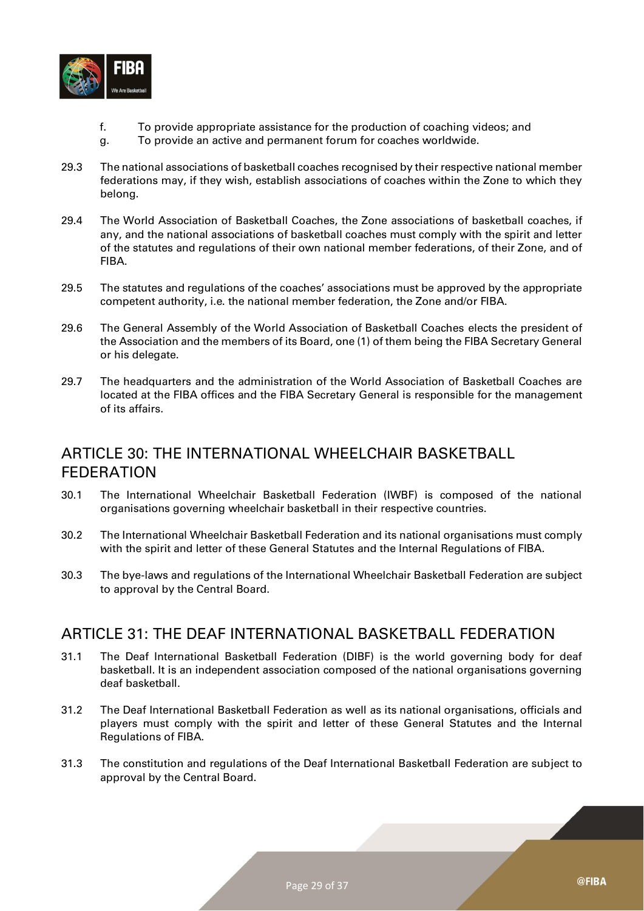

- f. To provide appropriate assistance for the production of coaching videos; and
- g. To provide an active and permanent forum for coaches worldwide.
- 29.3 The national associations of basketball coaches recognised by their respective national member federations may, if they wish, establish associations of coaches within the Zone to which they belong.
- 29.4 The World Association of Basketball Coaches, the Zone associations of basketball coaches, if any, and the national associations of basketball coaches must comply with the spirit and letter of the statutes and regulations of their own national member federations, of their Zone, and of FIBA.
- 29.5 The statutes and regulations of the coaches' associations must be approved by the appropriate competent authority, i.e. the national member federation, the Zone and/or FIBA.
- 29.6 The General Assembly of the World Association of Basketball Coaches elects the president of the Association and the members of its Board, one (1) of them being the FIBA Secretary General or his delegate.
- 29.7 The headquarters and the administration of the World Association of Basketball Coaches are located at the FIBA offices and the FIBA Secretary General is responsible for the management of its affairs.

#### <span id="page-28-0"></span>ARTICLE 30: THE INTERNATIONAL WHEELCHAIR BASKETBALL FEDERATION

- 30.1 The International Wheelchair Basketball Federation (IWBF) is composed of the national organisations governing wheelchair basketball in their respective countries.
- 30.2 The International Wheelchair Basketball Federation and its national organisations must comply with the spirit and letter of these General Statutes and the Internal Regulations of FIBA.
- 30.3 The bye-laws and regulations of the International Wheelchair Basketball Federation are subject to approval by the Central Board.

#### <span id="page-28-1"></span>ARTICLE 31: THE DEAF INTERNATIONAL BASKETBALL FEDERATION

- 31.1 The Deaf International Basketball Federation (DIBF) is the world governing body for deaf basketball. It is an independent association composed of the national organisations governing deaf basketball.
- 31.2 The Deaf International Basketball Federation as well as its national organisations, officials and players must comply with the spirit and letter of these General Statutes and the Internal Regulations of FIBA.
- 31.3 The constitution and regulations of the Deaf International Basketball Federation are subject to approval by the Central Board.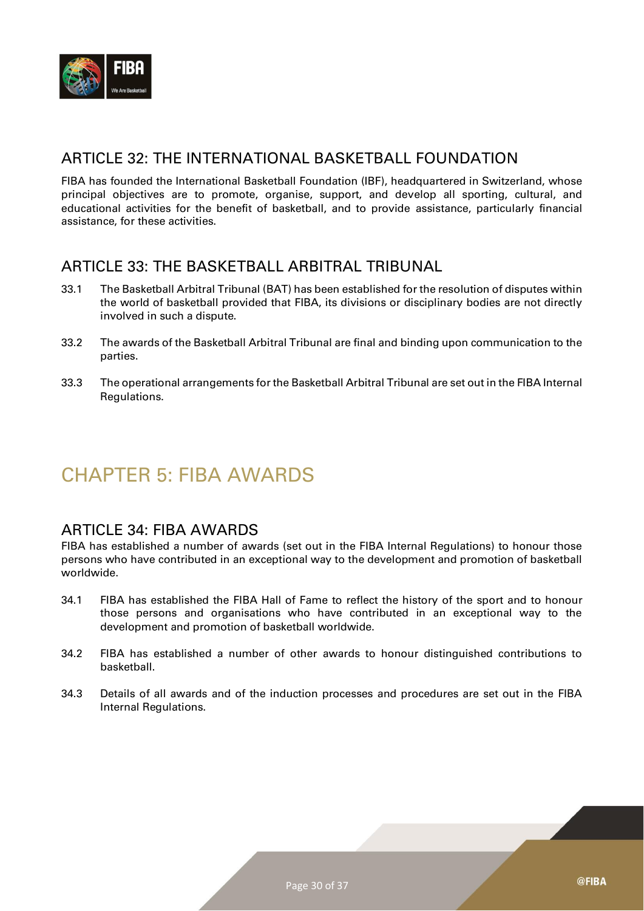

#### <span id="page-29-0"></span>ARTICLE 32: THE INTERNATIONAL BASKETBALL FOUNDATION

FIBA has founded the International Basketball Foundation (IBF), headquartered in Switzerland, whose principal objectives are to promote, organise, support, and develop all sporting, cultural, and educational activities for the benefit of basketball, and to provide assistance, particularly financial assistance, for these activities.

#### <span id="page-29-1"></span>ARTICLE 33: THE BASKETBALL ARBITRAL TRIBUNAL

- 33.1 The Basketball Arbitral Tribunal (BAT) has been established for the resolution of disputes within the world of basketball provided that FIBA, its divisions or disciplinary bodies are not directly involved in such a dispute.
- 33.2 The awards of the Basketball Arbitral Tribunal are final and binding upon communication to the parties.
- 33.3 The operational arrangements for the Basketball Arbitral Tribunal are set out in the FIBA Internal Regulations.

## <span id="page-29-2"></span>CHAPTER 5: FIBA AWARDS

#### <span id="page-29-3"></span>ARTICLE 34: FIBA AWARDS

FIBA has established a number of awards (set out in the FIBA Internal Regulations) to honour those persons who have contributed in an exceptional way to the development and promotion of basketball worldwide.

- 34.1 FIBA has established the FIBA Hall of Fame to reflect the history of the sport and to honour those persons and organisations who have contributed in an exceptional way to the development and promotion of basketball worldwide.
- 34.2 FIBA has established a number of other awards to honour distinguished contributions to basketball.
- 34.3 Details of all awards and of the induction processes and procedures are set out in the FIBA Internal Regulations.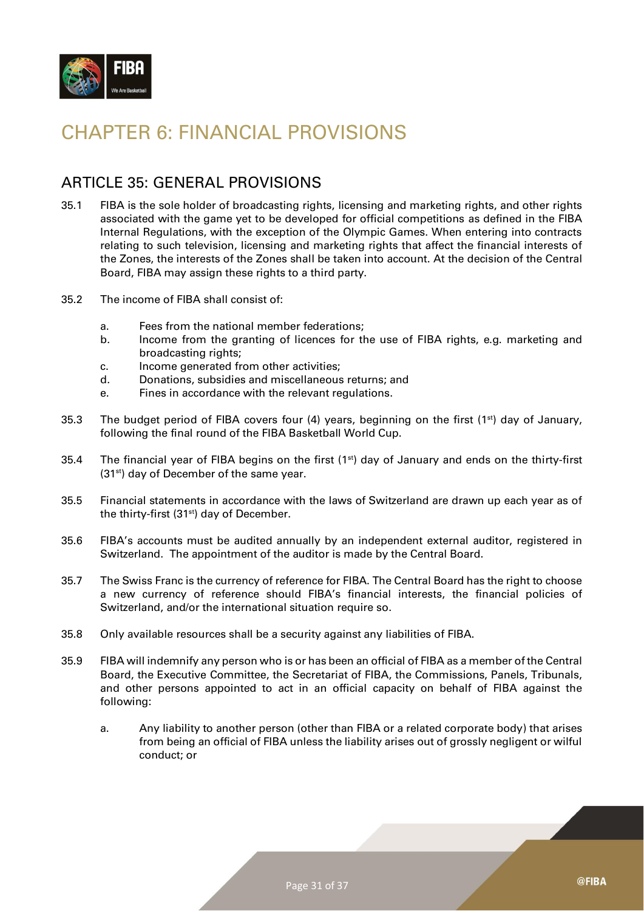

## <span id="page-30-0"></span>CHAPTER 6: FINANCIAL PROVISIONS

#### <span id="page-30-1"></span>ARTICLE 35: GENERAL PROVISIONS

- 35.1 FIBA is the sole holder of broadcasting rights, licensing and marketing rights, and other rights associated with the game yet to be developed for official competitions as defined in the FIBA Internal Regulations, with the exception of the Olympic Games. When entering into contracts relating to such television, licensing and marketing rights that affect the financial interests of the Zones, the interests of the Zones shall be taken into account. At the decision of the Central Board, FIBA may assign these rights to a third party.
- 35.2 The income of FIBA shall consist of:
	- a. Fees from the national member federations;
	- b. Income from the granting of licences for the use of FIBA rights, e.g. marketing and broadcasting rights;
	- c. Income generated from other activities;
	- d. Donations, subsidies and miscellaneous returns; and
	- e. Fines in accordance with the relevant regulations.
- 35.3 The budget period of FIBA covers four (4) years, beginning on the first (1<sup>st</sup>) day of January, following the final round of the FIBA Basketball World Cup.
- 35.4 The financial year of FIBA begins on the first (1<sup>st</sup>) day of January and ends on the thirty-first (31<sup>st</sup>) day of December of the same year.
- 35.5 Financial statements in accordance with the laws of Switzerland are drawn up each year as of the thirty-first  $(31<sup>st</sup>)$  day of December.
- 35.6 FIBA's accounts must be audited annually by an independent external auditor, registered in Switzerland. The appointment of the auditor is made by the Central Board.
- 35.7 The Swiss Franc is the currency of reference for FIBA. The Central Board has the right to choose a new currency of reference should FIBA's financial interests, the financial policies of Switzerland, and/or the international situation require so.
- 35.8 Only available resources shall be a security against any liabilities of FIBA.
- 35.9 FIBA will indemnify any person who is or has been an official of FIBA as a member of the Central Board, the Executive Committee, the Secretariat of FIBA, the Commissions, Panels, Tribunals, and other persons appointed to act in an official capacity on behalf of FIBA against the following:
	- a. Any liability to another person (other than FIBA or a related corporate body) that arises from being an official of FIBA unless the liability arises out of grossly negligent or wilful conduct; or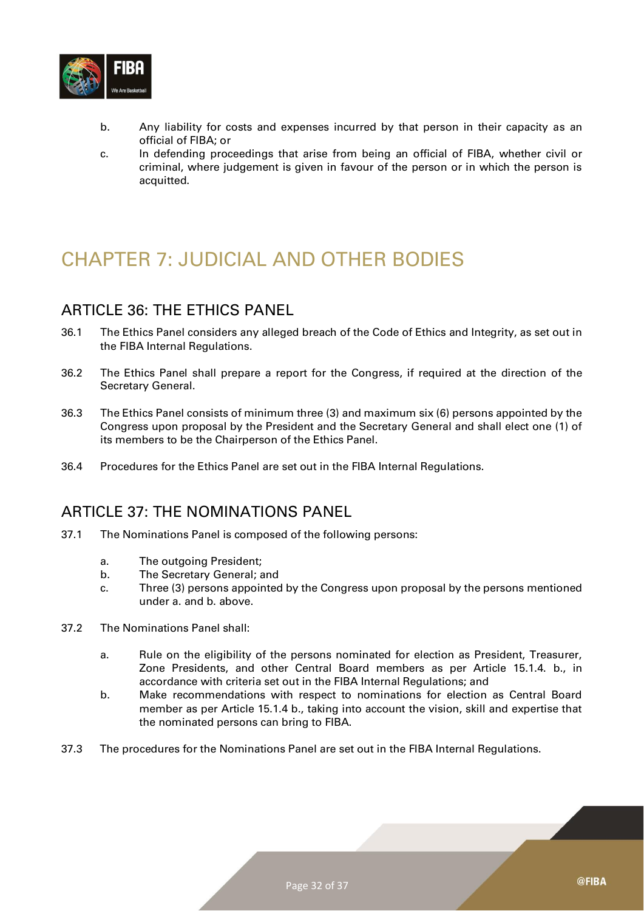

- b. Any liability for costs and expenses incurred by that person in their capacity as an official of FIBA; or
- c. In defending proceedings that arise from being an official of FIBA, whether civil or criminal, where judgement is given in favour of the person or in which the person is acquitted.

# <span id="page-31-0"></span>CHAPTER 7: JUDICIAL AND OTHER BODIES

#### <span id="page-31-1"></span>ARTICLE 36: THE ETHICS PANEL

- 36.1 The Ethics Panel considers any alleged breach of the Code of Ethics and Integrity, as set out in the FIBA Internal Regulations.
- 36.2 The Ethics Panel shall prepare a report for the Congress, if required at the direction of the Secretary General.
- 36.3 The Ethics Panel consists of minimum three (3) and maximum six (6) persons appointed by the Congress upon proposal by the President and the Secretary General and shall elect one (1) of its members to be the Chairperson of the Ethics Panel.
- 36.4 Procedures for the Ethics Panel are set out in the FIBA Internal Regulations.

#### <span id="page-31-2"></span>ARTICLE 37: THE NOMINATIONS PANEL

- 37.1 The Nominations Panel is composed of the following persons:
	- a. The outgoing President;
	- b. The Secretary General; and
	- c. Three (3) persons appointed by the Congress upon proposal by the persons mentioned under a. and b. above.
- 37.2 The Nominations Panel shall:
	- a. Rule on the eligibility of the persons nominated for election as President, Treasurer, Zone Presidents, and other Central Board members as per Article 15.1.4. b., in accordance with criteria set out in the FIBA Internal Regulations; and
	- b. Make recommendations with respect to nominations for election as Central Board member as per Article 15.1.4 b., taking into account the vision, skill and expertise that the nominated persons can bring to FIBA.
- 37.3 The procedures for the Nominations Panel are set out in the FIBA Internal Regulations.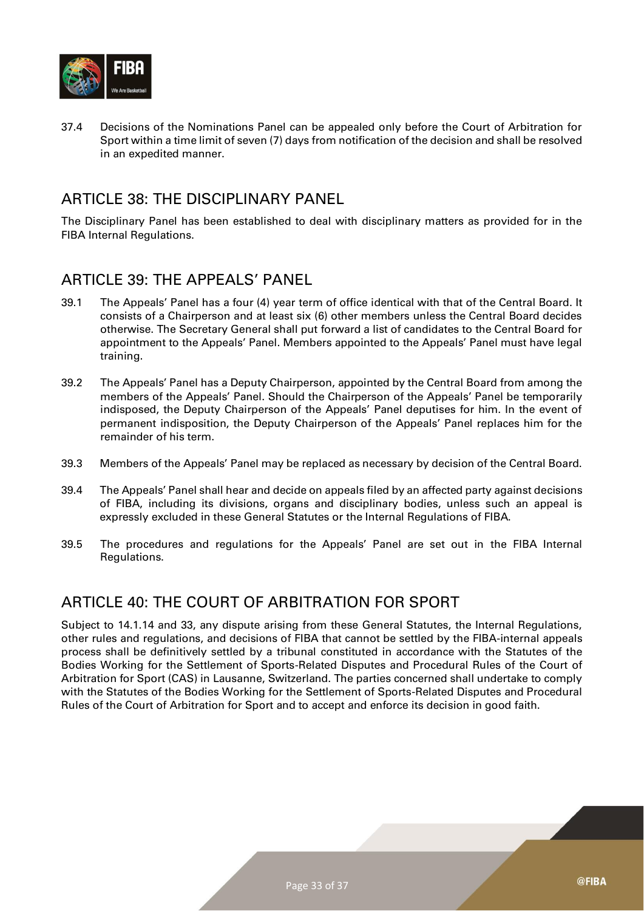

37.4 Decisions of the Nominations Panel can be appealed only before the Court of Arbitration for Sport within a time limit of seven (7) days from notification of the decision and shall be resolved in an expedited manner.

#### <span id="page-32-0"></span>ARTICLE 38: THE DISCIPLINARY PANEL

The Disciplinary Panel has been established to deal with disciplinary matters as provided for in the FIBA Internal Regulations.

#### <span id="page-32-1"></span>ARTICLE 39: THE APPEALS' PANEL

- 39.1 The Appeals' Panel has a four (4) year term of office identical with that of the Central Board. It consists of a Chairperson and at least six (6) other members unless the Central Board decides otherwise. The Secretary General shall put forward a list of candidates to the Central Board for appointment to the Appeals' Panel. Members appointed to the Appeals' Panel must have legal training.
- 39.2 The Appeals' Panel has a Deputy Chairperson, appointed by the Central Board from among the members of the Appeals' Panel. Should the Chairperson of the Appeals' Panel be temporarily indisposed, the Deputy Chairperson of the Appeals' Panel deputises for him. In the event of permanent indisposition, the Deputy Chairperson of the Appeals' Panel replaces him for the remainder of his term.
- 39.3 Members of the Appeals' Panel may be replaced as necessary by decision of the Central Board.
- 39.4 The Appeals' Panel shall hear and decide on appeals filed by an affected party against decisions of FIBA, including its divisions, organs and disciplinary bodies, unless such an appeal is expressly excluded in these General Statutes or the Internal Regulations of FIBA.
- 39.5 The procedures and regulations for the Appeals' Panel are set out in the FIBA Internal Regulations.

#### <span id="page-32-2"></span>ARTICLE 40: THE COURT OF ARBITRATION FOR SPORT

Subject to 14.1.14 and 33, any dispute arising from these General Statutes, the Internal Regulations, other rules and regulations, and decisions of FIBA that cannot be settled by the FIBA-internal appeals process shall be definitively settled by a tribunal constituted in accordance with the Statutes of the Bodies Working for the Settlement of Sports-Related Disputes and Procedural Rules of the Court of Arbitration for Sport (CAS) in Lausanne, Switzerland. The parties concerned shall undertake to comply with the Statutes of the Bodies Working for the Settlement of Sports-Related Disputes and Procedural Rules of the Court of Arbitration for Sport and to accept and enforce its decision in good faith.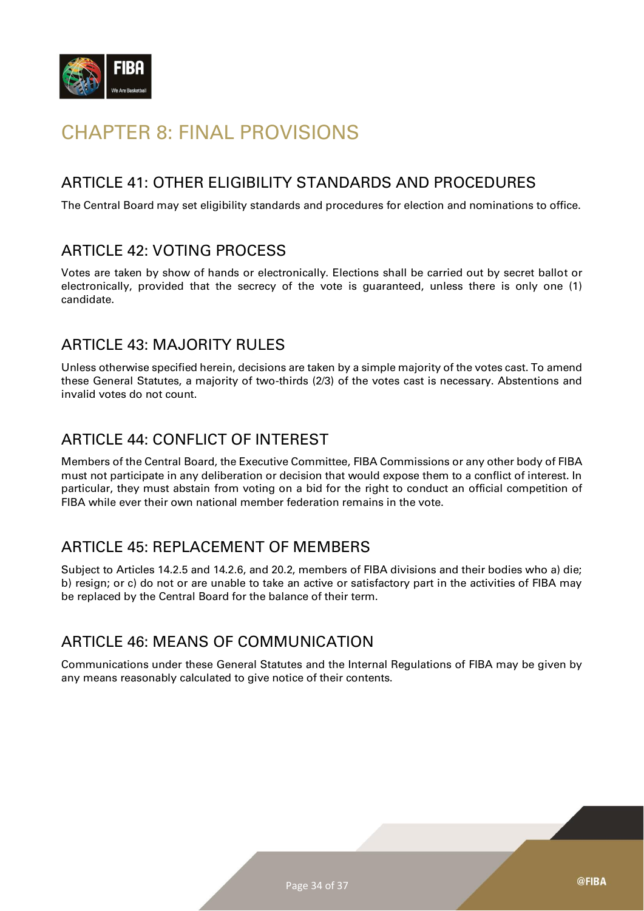

# <span id="page-33-0"></span>CHAPTER 8: FINAL PROVISIONS

## <span id="page-33-1"></span>ARTICLE 41: OTHER ELIGIBILITY STANDARDS AND PROCEDURES

The Central Board may set eligibility standards and procedures for election and nominations to office.

#### <span id="page-33-2"></span>ARTICLE 42: VOTING PROCESS

Votes are taken by show of hands or electronically. Elections shall be carried out by secret ballot or electronically, provided that the secrecy of the vote is guaranteed, unless there is only one (1) candidate.

#### <span id="page-33-3"></span>ARTICLE 43: MAJORITY RULES

Unless otherwise specified herein, decisions are taken by a simple majority of the votes cast. To amend these General Statutes, a majority of two-thirds (2/3) of the votes cast is necessary. Abstentions and invalid votes do not count.

## <span id="page-33-4"></span>ARTICLE 44: CONFLICT OF INTEREST

Members of the Central Board, the Executive Committee, FIBA Commissions or any other body of FIBA must not participate in any deliberation or decision that would expose them to a conflict of interest. In particular, they must abstain from voting on a bid for the right to conduct an official competition of FIBA while ever their own national member federation remains in the vote.

## <span id="page-33-5"></span>ARTICLE 45: REPLACEMENT OF MEMBERS

Subject to Articles 14.2.5 and 14.2.6, and 20.2, members of FIBA divisions and their bodies who a) die; b) resign; or c) do not or are unable to take an active or satisfactory part in the activities of FIBA may be replaced by the Central Board for the balance of their term.

#### <span id="page-33-6"></span>ARTICLE 46: MEANS OF COMMUNICATION

Communications under these General Statutes and the Internal Regulations of FIBA may be given by any means reasonably calculated to give notice of their contents.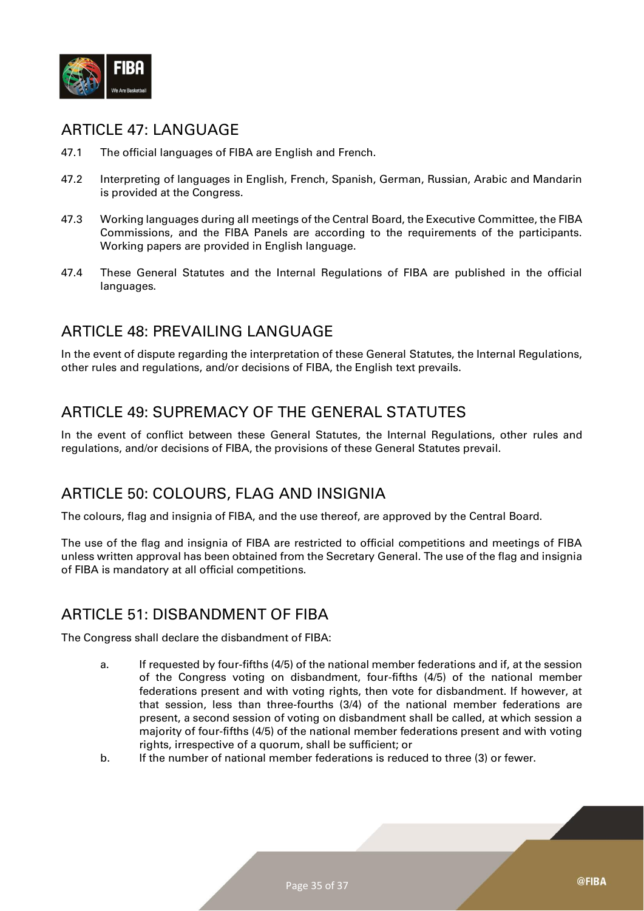

#### <span id="page-34-0"></span>ARTICLE 47: LANGUAGE

- 47.1 The official languages of FIBA are English and French.
- 47.2 Interpreting of languages in English, French, Spanish, German, Russian, Arabic and Mandarin is provided at the Congress.
- 47.3 Working languages during all meetings of the Central Board, the Executive Committee, the FIBA Commissions, and the FIBA Panels are according to the requirements of the participants. Working papers are provided in English language.
- 47.4 These General Statutes and the Internal Regulations of FIBA are published in the official languages.

#### <span id="page-34-1"></span>ARTICLE 48: PREVAILING LANGUAGE

In the event of dispute regarding the interpretation of these General Statutes, the Internal Regulations, other rules and regulations, and/or decisions of FIBA, the English text prevails.

## <span id="page-34-2"></span>ARTICLE 49: SUPREMACY OF THE GENERAL STATUTES

In the event of conflict between these General Statutes, the Internal Regulations, other rules and regulations, and/or decisions of FIBA, the provisions of these General Statutes prevail.

#### <span id="page-34-3"></span>ARTICLE 50: COLOURS, FLAG AND INSIGNIA

The colours, flag and insignia of FIBA, and the use thereof, are approved by the Central Board.

The use of the flag and insignia of FIBA are restricted to official competitions and meetings of FIBA unless written approval has been obtained from the Secretary General. The use of the flag and insignia of FIBA is mandatory at all official competitions.

#### <span id="page-34-4"></span>ARTICLE 51: DISBANDMENT OF FIBA

The Congress shall declare the disbandment of FIBA:

- a. If requested by four-fifths (4/5) of the national member federations and if, at the session of the Congress voting on disbandment, four-fifths (4/5) of the national member federations present and with voting rights, then vote for disbandment. If however, at that session, less than three-fourths (3/4) of the national member federations are present, a second session of voting on disbandment shall be called, at which session a majority of four-fifths (4/5) of the national member federations present and with voting rights, irrespective of a quorum, shall be sufficient; or
- b. If the number of national member federations is reduced to three (3) or fewer.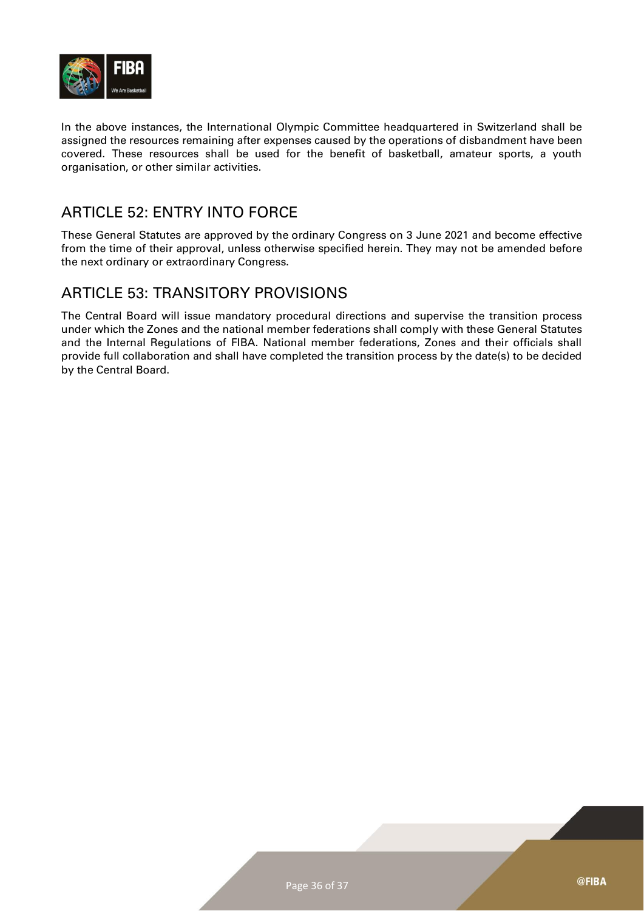

In the above instances, the International Olympic Committee headquartered in Switzerland shall be assigned the resources remaining after expenses caused by the operations of disbandment have been covered. These resources shall be used for the benefit of basketball, amateur sports, a youth organisation, or other similar activities.

#### <span id="page-35-0"></span>ARTICLE 52: ENTRY INTO FORCE

These General Statutes are approved by the ordinary Congress on 3 June 2021 and become effective from the time of their approval, unless otherwise specified herein. They may not be amended before the next ordinary or extraordinary Congress.

#### <span id="page-35-1"></span>ARTICLE 53: TRANSITORY PROVISIONS

The Central Board will issue mandatory procedural directions and supervise the transition process under which the Zones and the national member federations shall comply with these General Statutes and the Internal Regulations of FIBA. National member federations, Zones and their officials shall provide full collaboration and shall have completed the transition process by the date(s) to be decided by the Central Board.